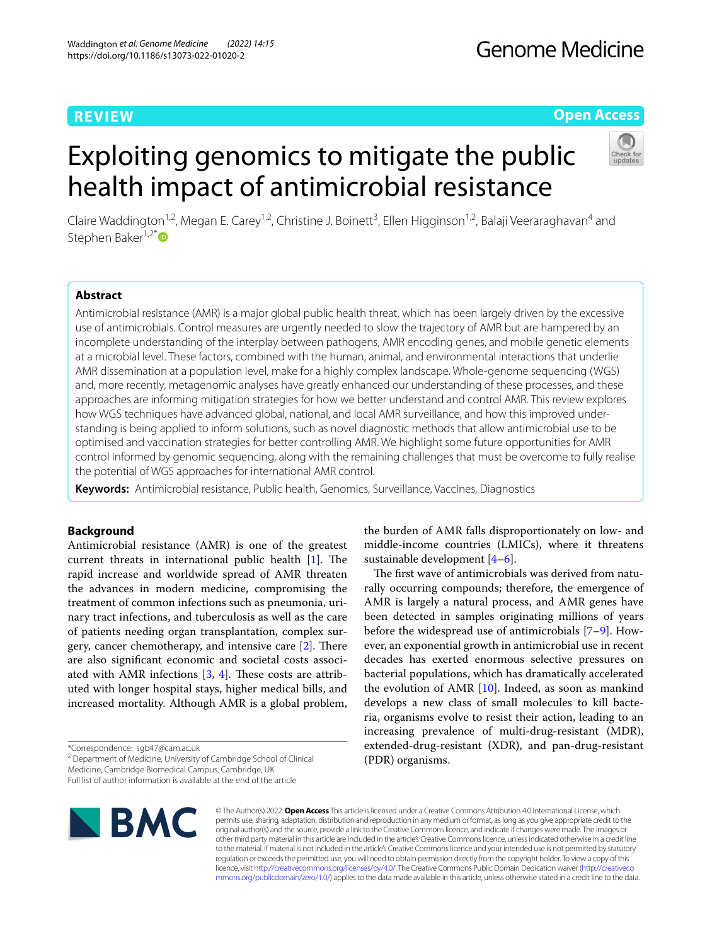# **REVIEW**

# **Open Access**

# Exploiting genomics to mitigate the public health impact of antimicrobial resistance



Claire Waddington<sup>1,2</sup>, Megan E. Carey<sup>1,2</sup>, Christine J. Boinett<sup>3</sup>, Ellen Higginson<sup>1,2</sup>, Balaji Veeraraghavan<sup>4</sup> and Stephen Baker<sup>1,2[\\*](http://orcid.org/0000-0003-1308-5755)</sup>

# **Abstract**

Antimicrobial resistance (AMR) is a major global public health threat, which has been largely driven by the excessive use of antimicrobials. Control measures are urgently needed to slow the trajectory of AMR but are hampered by an incomplete understanding of the interplay between pathogens, AMR encoding genes, and mobile genetic elements at a microbial level. These factors, combined with the human, animal, and environmental interactions that underlie AMR dissemination at a population level, make for a highly complex landscape. Whole-genome sequencing (WGS) and, more recently, metagenomic analyses have greatly enhanced our understanding of these processes, and these approaches are informing mitigation strategies for how we better understand and control AMR. This review explores how WGS techniques have advanced global, national, and local AMR surveillance, and how this improved understanding is being applied to inform solutions, such as novel diagnostic methods that allow antimicrobial use to be optimised and vaccination strategies for better controlling AMR. We highlight some future opportunities for AMR control informed by genomic sequencing, along with the remaining challenges that must be overcome to fully realise the potential of WGS approaches for international AMR control.

**Keywords:** Antimicrobial resistance, Public health, Genomics, Surveillance, Vaccines, Diagnostics

# **Background**

Antimicrobial resistance (AMR) is one of the greatest current threats in international public health  $[1]$  $[1]$ . The rapid increase and worldwide spread of AMR threaten the advances in modern medicine, compromising the treatment of common infections such as pneumonia, urinary tract infections, and tuberculosis as well as the care of patients needing organ transplantation, complex surgery, cancer chemotherapy, and intensive care  $[2]$  $[2]$ . There are also signifcant economic and societal costs associated with AMR infections  $[3, 4]$  $[3, 4]$  $[3, 4]$  $[3, 4]$ . These costs are attributed with longer hospital stays, higher medical bills, and increased mortality. Although AMR is a global problem,

\*Correspondence: sgb47@cam.ac.uk

<sup>2</sup> Department of Medicine, University of Cambridge School of Clinical Medicine, Cambridge Biomedical Campus, Cambridge, UK

Full list of author information is available at the end of the article



the burden of AMR falls disproportionately on low- and middle-income countries (LMICs), where it threatens sustainable development [\[4–](#page-10-1)[6\]](#page-10-2).

The first wave of antimicrobials was derived from naturally occurring compounds; therefore, the emergence of AMR is largely a natural process, and AMR genes have been detected in samples originating millions of years before the widespread use of antimicrobials [\[7](#page-10-3)[–9\]](#page-10-4). However, an exponential growth in antimicrobial use in recent decades has exerted enormous selective pressures on bacterial populations, which has dramatically accelerated the evolution of AMR [\[10](#page-10-5)]. Indeed, as soon as mankind develops a new class of small molecules to kill bacteria, organisms evolve to resist their action, leading to an increasing prevalence of multi-drug-resistant (MDR), extended-drug-resistant (XDR), and pan-drug-resistant (PDR) organisms.

© The Author(s) 2022. **Open Access** This article is licensed under a Creative Commons Attribution 4.0 International License, which permits use, sharing, adaptation, distribution and reproduction in any medium or format, as long as you give appropriate credit to the original author(s) and the source, provide a link to the Creative Commons licence, and indicate if changes were made. The images or other third party material in this article are included in the article's Creative Commons licence, unless indicated otherwise in a credit line to the material. If material is not included in the article's Creative Commons licence and your intended use is not permitted by statutory regulation or exceeds the permitted use, you will need to obtain permission directly from the copyright holder. To view a copy of this licence, visit [http://creativecommons.org/licenses/by/4.0/.](http://creativecommons.org/licenses/by/4.0/) The Creative Commons Public Domain Dedication waiver ([http://creativeco](http://creativecommons.org/publicdomain/zero/1.0/) [mmons.org/publicdomain/zero/1.0/](http://creativecommons.org/publicdomain/zero/1.0/)) applies to the data made available in this article, unless otherwise stated in a credit line to the data.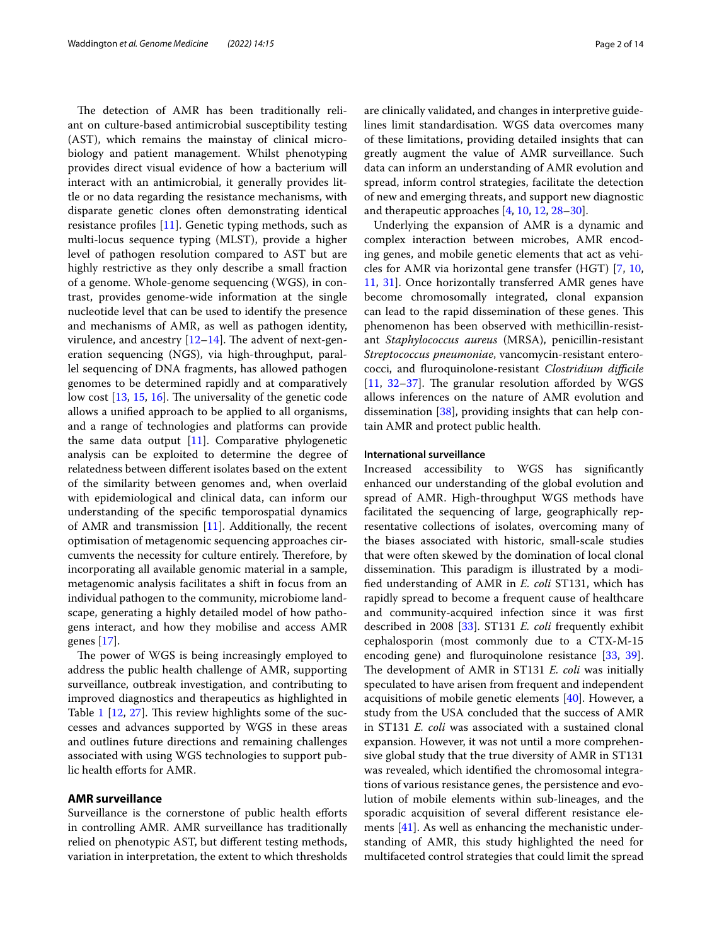The detection of AMR has been traditionally reliant on culture-based antimicrobial susceptibility testing (AST), which remains the mainstay of clinical microbiology and patient management. Whilst phenotyping provides direct visual evidence of how a bacterium will interact with an antimicrobial, it generally provides little or no data regarding the resistance mechanisms, with disparate genetic clones often demonstrating identical resistance profles [[11\]](#page-10-6). Genetic typing methods, such as multi-locus sequence typing (MLST), provide a higher level of pathogen resolution compared to AST but are highly restrictive as they only describe a small fraction of a genome. Whole-genome sequencing (WGS), in contrast, provides genome-wide information at the single nucleotide level that can be used to identify the presence and mechanisms of AMR, as well as pathogen identity, virulence, and ancestry  $[12-14]$  $[12-14]$ . The advent of next-generation sequencing (NGS), via high-throughput, parallel sequencing of DNA fragments, has allowed pathogen genomes to be determined rapidly and at comparatively low cost  $[13, 15, 16]$  $[13, 15, 16]$  $[13, 15, 16]$  $[13, 15, 16]$  $[13, 15, 16]$  $[13, 15, 16]$  $[13, 15, 16]$ . The universality of the genetic code allows a unifed approach to be applied to all organisms, and a range of technologies and platforms can provide the same data output  $[11]$  $[11]$ . Comparative phylogenetic analysis can be exploited to determine the degree of relatedness between diferent isolates based on the extent of the similarity between genomes and, when overlaid with epidemiological and clinical data, can inform our understanding of the specifc temporospatial dynamics of AMR and transmission [\[11\]](#page-10-6). Additionally, the recent optimisation of metagenomic sequencing approaches circumvents the necessity for culture entirely. Therefore, by incorporating all available genomic material in a sample, metagenomic analysis facilitates a shift in focus from an individual pathogen to the community, microbiome landscape, generating a highly detailed model of how pathogens interact, and how they mobilise and access AMR genes [\[17\]](#page-10-12).

The power of WGS is being increasingly employed to address the public health challenge of AMR, supporting surveillance, outbreak investigation, and contributing to improved diagnostics and therapeutics as highlighted in Table  $1$  [\[12](#page-10-7), [27](#page-10-13)]. This review highlights some of the successes and advances supported by WGS in these areas and outlines future directions and remaining challenges associated with using WGS technologies to support public health eforts for AMR.

## **AMR surveillance**

Surveillance is the cornerstone of public health efforts in controlling AMR. AMR surveillance has traditionally relied on phenotypic AST, but diferent testing methods, variation in interpretation, the extent to which thresholds are clinically validated, and changes in interpretive guidelines limit standardisation. WGS data overcomes many of these limitations, providing detailed insights that can greatly augment the value of AMR surveillance. Such data can inform an understanding of AMR evolution and spread, inform control strategies, facilitate the detection of new and emerging threats, and support new diagnostic and therapeutic approaches [\[4](#page-10-1), [10](#page-10-5), [12,](#page-10-7) [28](#page-10-14)[–30\]](#page-10-15).

Underlying the expansion of AMR is a dynamic and complex interaction between microbes, AMR encoding genes, and mobile genetic elements that act as vehicles for AMR via horizontal gene transfer (HGT) [\[7](#page-10-3), [10](#page-10-5), [11,](#page-10-6) [31](#page-10-16)]. Once horizontally transferred AMR genes have become chromosomally integrated, clonal expansion can lead to the rapid dissemination of these genes. This phenomenon has been observed with methicillin-resistant *Staphylococcus aureus* (MRSA), penicillin-resistant *Streptococcus pneumoniae*, vancomycin-resistant enterococci, and furoquinolone-resistant *Clostridium difcile* [[11,](#page-10-6)  $32-37$  $32-37$ ]. The granular resolution afforded by WGS allows inferences on the nature of AMR evolution and dissemination [\[38\]](#page-10-19), providing insights that can help contain AMR and protect public health.

## **International surveillance**

Increased accessibility to WGS has signifcantly enhanced our understanding of the global evolution and spread of AMR. High-throughput WGS methods have facilitated the sequencing of large, geographically representative collections of isolates, overcoming many of the biases associated with historic, small-scale studies that were often skewed by the domination of local clonal dissemination. This paradigm is illustrated by a modifed understanding of AMR in *E. coli* ST131, which has rapidly spread to become a frequent cause of healthcare and community-acquired infection since it was frst described in 2008 [\[33](#page-10-20)]. ST131 *E. coli* frequently exhibit cephalosporin (most commonly due to a CTX-M-15 encoding gene) and fluroquinolone resistance [[33,](#page-10-20) [39](#page-10-21)]. The development of AMR in ST131 *E. coli* was initially speculated to have arisen from frequent and independent acquisitions of mobile genetic elements [\[40](#page-10-22)]. However, a study from the USA concluded that the success of AMR in ST131 *E. coli* was associated with a sustained clonal expansion. However, it was not until a more comprehensive global study that the true diversity of AMR in ST131 was revealed, which identifed the chromosomal integrations of various resistance genes, the persistence and evolution of mobile elements within sub-lineages, and the sporadic acquisition of several diferent resistance elements [[41\]](#page-10-23). As well as enhancing the mechanistic understanding of AMR, this study highlighted the need for multifaceted control strategies that could limit the spread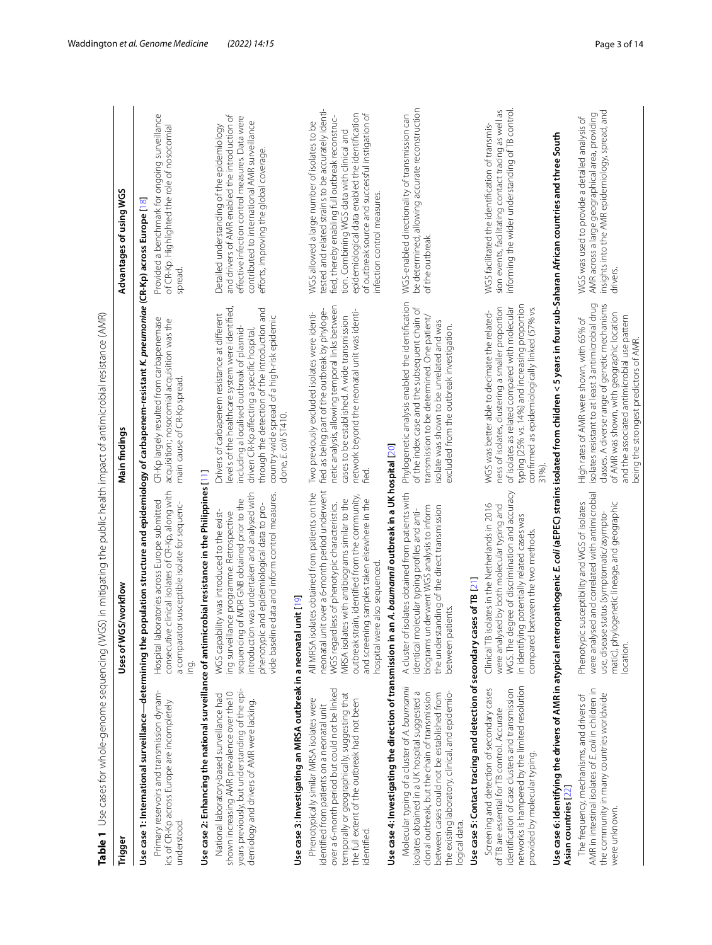<span id="page-2-0"></span>

| Table 1                                                                                                                                                                                                                                                               | Use cases for whole-genome sequencing (WGS) in mitigating the public health impact of antimicrobial resistance (AMR)                                                                                                                                                                                                                    |                                                                                                                                                                                                                                                                                                                         |                                                                                                                                                                                                                                                                                                                                             |
|-----------------------------------------------------------------------------------------------------------------------------------------------------------------------------------------------------------------------------------------------------------------------|-----------------------------------------------------------------------------------------------------------------------------------------------------------------------------------------------------------------------------------------------------------------------------------------------------------------------------------------|-------------------------------------------------------------------------------------------------------------------------------------------------------------------------------------------------------------------------------------------------------------------------------------------------------------------------|---------------------------------------------------------------------------------------------------------------------------------------------------------------------------------------------------------------------------------------------------------------------------------------------------------------------------------------------|
| <b>Trigger</b>                                                                                                                                                                                                                                                        | GS/workflow<br>Uses of W                                                                                                                                                                                                                                                                                                                | Main findings                                                                                                                                                                                                                                                                                                           | Advantages of using WGS                                                                                                                                                                                                                                                                                                                     |
| Use case 1: International surveillance-determining the                                                                                                                                                                                                                |                                                                                                                                                                                                                                                                                                                                         | population structure and epidemiology of carbapenem-resistant K. <i>pneumonide</i> (CR-Kp) across Europe [18]                                                                                                                                                                                                           |                                                                                                                                                                                                                                                                                                                                             |
| Primary reservoirs and transmission dynam-<br>ics of CR-Kp across Europe are incompletely<br>understood                                                                                                                                                               | consecutive clinical isolates of CR-Kp, along with<br>Hospital laboratories across Europe submitted<br>a comparator susceptible isolate for sequenc-<br>ing.                                                                                                                                                                            | CR-Kp largely resulted from carbapenemase<br>acquisition; nosocomial acquisition was the<br>main cause of CR-Kp spread.                                                                                                                                                                                                 | Provided a benchmark for ongoing surveillance<br>of CR-Kp. Highlighted the role of nosocomial<br>spread.                                                                                                                                                                                                                                    |
| Use case 2: Enhancing the national surveillance of antimi                                                                                                                                                                                                             | crobial resistance in the Philippines [11]                                                                                                                                                                                                                                                                                              |                                                                                                                                                                                                                                                                                                                         |                                                                                                                                                                                                                                                                                                                                             |
| years previously, but understanding of the epi-<br>shown increasing AMR prevalence over the10<br>National laboratory-based surveillance had<br>demiology and drivers of AMR were lacking.                                                                             | introduction was undertaken and analysed with<br>vide baseline data and inform control measures.<br>sequencing of MDR GNB obtained prior to the<br>phenotypic and epidemiological data to pro-<br>WGS capability was introduced to the exist-<br>ing surveillance programme. Retrospective                                              | levels of the healthcare system were identified,<br>through the detection of the introduction and<br>Drivers of carbapenem resistance at different<br>country-wide spread of a high-risk epidemic<br>including a localised outbreak of plasmid-<br>driven CR-Kp affecting a specific hospital,<br>clone, E. coli ST410. | and drivers of AMR enabled the introduction of<br>effective infection control measures. Data were<br>contributed to international AMR surveillance<br>Detailed understanding of the epidemiology<br>efforts, improving the global coverage.                                                                                                 |
| Use case 3: Investigating an MRSA outbreak in a neonatal unit [19]                                                                                                                                                                                                    |                                                                                                                                                                                                                                                                                                                                         |                                                                                                                                                                                                                                                                                                                         |                                                                                                                                                                                                                                                                                                                                             |
| over a 6-month period but could not be linked<br>temporally or geographically, suggesting that<br>Phenotypically similar MRSA isolates were<br>the full extent of the outbreak had not been<br>identified from patients on a neonatal unit<br>identified.             | neonatal unit over a 6-month period underwent<br>All MRSA isolates obtained from patients on the<br>outbreak strain, identified from the community,<br>MRSA isolates with antibiograms similar to the<br>and screening samples taken elsewhere in the<br>WGS regardless of phenotypic characteristics.<br>hospital were also sequenced. | netic analysis, allowing temporal links between<br>fied as being part of the outbreak by phyloge-<br>network beyond the neonatal unit was identi-<br>Two previously excluded isolates were identi-<br>cases to be established. A wide transmission<br>fied.                                                             | tested and related strains to be accurately identi-<br>of outbreak source and successful instigation of<br>epidemiological data enabled the identification<br>fied, thereby enabling full outbreak reconstruc-<br>WGS allowed a large number of isolates to be<br>tion. Combining WGS data with clinical and<br>infection control measures. |
|                                                                                                                                                                                                                                                                       | Use case 4: Investigating the direction of transmission in an A. baumannii outbreak in a UK hospital $[20]$                                                                                                                                                                                                                             |                                                                                                                                                                                                                                                                                                                         |                                                                                                                                                                                                                                                                                                                                             |
| Molecular typing of a cluster of A. baumannii<br>isolates obtained in a UK hospital suggested a<br>the existing laboratory, clinical, and epidemio-<br>clonal outbreak, but the chain of transmission<br>between cases could not be established from<br>logical data. | A cluster of isolates obtained from patients with<br>biograms underwent WGS analysis to inform<br>the understanding of the direct transmission<br>identical molecular typing profiles and anti-<br>between patients.                                                                                                                    | Phylogenetic analysis enabled the identification<br>of the index case and the subsequent chain of<br>transmission to be determined. One patient/<br>isolate was shown to be unrelated and was<br>excluded from the outbreak investigation.                                                                              | be determined, allowing accurate reconstruction<br>WGS-enabled directionality of transmission can<br>of the outbreak.                                                                                                                                                                                                                       |
| Use case 5: Contact tracing and detection of secondary cases of TB [21]                                                                                                                                                                                               |                                                                                                                                                                                                                                                                                                                                         |                                                                                                                                                                                                                                                                                                                         |                                                                                                                                                                                                                                                                                                                                             |
| networks is hampered by the limited resolution<br>Screening and detection of secondary cases<br>identification of case clusters and transmission<br>of TB are essential for TB control. Accurate<br>provided by molecular typing.                                     | WGS. The degree of discrimination and accuracy<br>isolates in the Netherlands in 2016<br>were analysed by both molecular typing and<br>in identifying potentially related cases was<br>between the two methods.<br>Clinical TB<br>compared                                                                                              | typing (25% vs. 14%) and increasing proportion<br>of isolates as related compared with molecular<br>ness of isolates, clustering a smaller proportion<br>confirmed as epidemiologically linked (57% vs.<br>WGS was better able to decimate the related-<br>31%).                                                        | informing the wider understanding of TB control<br>sion events, facilitating contact tracing as well as<br>WGS facilitated the identification of transmis-                                                                                                                                                                                  |
| Asian countries [22]                                                                                                                                                                                                                                                  | Use case 6: Identifying the drivers of AMR in atypical enteropathogenic E. coli (aEPEC) strains isolated from children < 5 years in four sub-Saharan African countries and three South                                                                                                                                                  |                                                                                                                                                                                                                                                                                                                         |                                                                                                                                                                                                                                                                                                                                             |
| AMR in intestinal isolates of E. coli in children in<br>the community in many countries worldwide<br>The frequency, mechanisms, and drivers of<br>were unknown.                                                                                                       | were analysed and correlated with antimicrobial<br>Phenotypic susceptibility and WGS of isolates<br>matic), phylogenetic lineage, and geographic<br>use, disease status (symptomatic/asympto-<br>location.                                                                                                                              | isolates resistant to at least 3 antimicrobial drug<br>classes. A diverse range of genetic mechanisms<br>of AMR was shown, with geographic location<br>and the associated antimicrobial use pattern<br>High rates of AMR were shown, with 65% of<br>being the strongest predictors of AMR.                              | insights into the AMR epidemiology, spread, and<br>AMR across a large geographical area, providing<br>WGS was used to provide a detailed analysis of<br>drivers.                                                                                                                                                                            |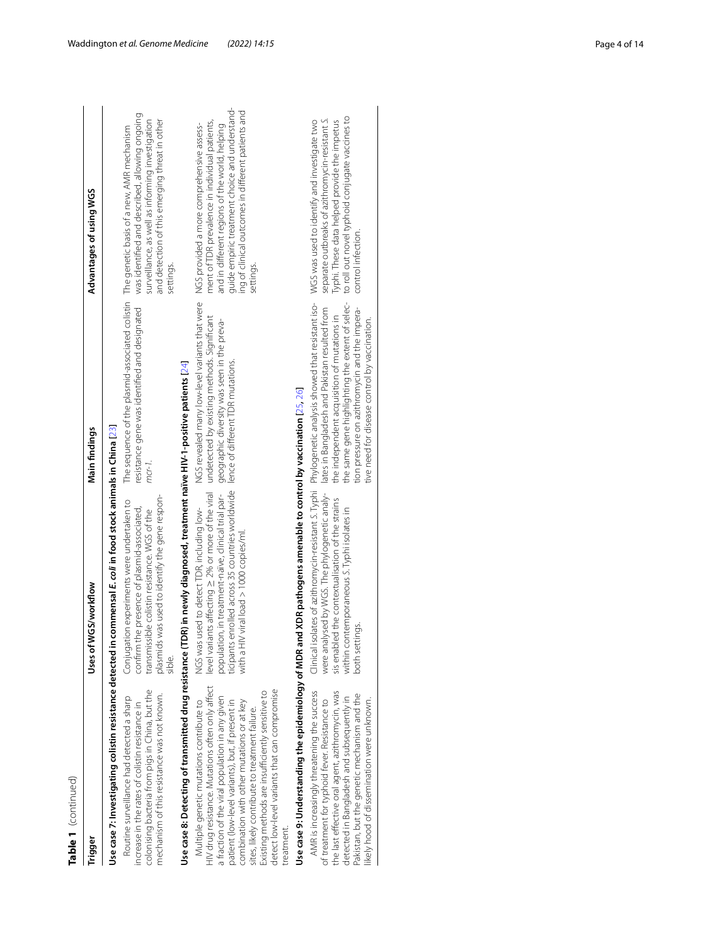| ۲ |
|---|
|   |
| ¢ |
|   |
|   |
|   |
|   |

| Table 1 (continued)                                                                                                                                                                                                                                                                                                                                                                                                   |                                                                                                                                                                                                                                                               |                                                                                                                                                                                                                                                                                                                                                                                                          |                                                                                                                                                                                                                                                                    |
|-----------------------------------------------------------------------------------------------------------------------------------------------------------------------------------------------------------------------------------------------------------------------------------------------------------------------------------------------------------------------------------------------------------------------|---------------------------------------------------------------------------------------------------------------------------------------------------------------------------------------------------------------------------------------------------------------|----------------------------------------------------------------------------------------------------------------------------------------------------------------------------------------------------------------------------------------------------------------------------------------------------------------------------------------------------------------------------------------------------------|--------------------------------------------------------------------------------------------------------------------------------------------------------------------------------------------------------------------------------------------------------------------|
| Trigger                                                                                                                                                                                                                                                                                                                                                                                                               | Uses of WGS/workflow                                                                                                                                                                                                                                          | Main findings                                                                                                                                                                                                                                                                                                                                                                                            | Advantages of using WGS                                                                                                                                                                                                                                            |
|                                                                                                                                                                                                                                                                                                                                                                                                                       | Use case 7: Investigating colistin resistance detected in commensal E. coli in food stock animals in China [23]                                                                                                                                               |                                                                                                                                                                                                                                                                                                                                                                                                          |                                                                                                                                                                                                                                                                    |
| colonising bacteria from pigs in China, but the<br>mechanism of this resistance was not known.<br>Routine surveillance had detected a sharp<br>increase in the rates of colistin resistance in                                                                                                                                                                                                                        | plasmids was used to identify the gene respon-<br>Conjugation experiments were undertaken to<br>confirm the presence of plasmid-associated,<br>transmissible colistin resistance. WGS of the<br>sible.                                                        | The sequence of the plasmid-associated colistin The genetic basis of a new, AMR mechanism<br>resistance gene was identified and designated<br>$mcr-1$ .                                                                                                                                                                                                                                                  | was identified and described, allowing ongoing<br>surveillance, as well as informing investigation<br>and detection of this emerging threat in other<br>settings.                                                                                                  |
|                                                                                                                                                                                                                                                                                                                                                                                                                       | Use case 8: Detecting of transmitted drug resistance (TDR) in newly diagnosed, treatment naïve HIV-1-positive patients [24]                                                                                                                                   |                                                                                                                                                                                                                                                                                                                                                                                                          |                                                                                                                                                                                                                                                                    |
| HIV drug resistance. Mutations often only affect<br>detect low-level variants that can compromise<br>Existing methods are insufficiently sensitive to<br>a fraction of the viral population in any given<br>Multiple genetic mutations contribute to<br>combination with other mutations or at key<br>patient (low-level variants), but, if present in<br>sites, likely contribute to treatment failure.<br>reatment. | ticipants enrolled across 35 countries worldwide<br>level variants affecting $\geq$ 2% or more of the viral<br>population, in treatment-naïve, clinical trial par-<br>NGS was used to detect TDR, including low-<br>with a HIV viral load $> 1000$ copies/ml. | NGS revealed many low-level variants that were<br>undetected by existing methods. Significant<br>geographic diversity was seen in the preva-<br>lence of different TDR mutations.                                                                                                                                                                                                                        | guide empiric treatment choice and understand-<br>ing of clinical outcomes in different patients and<br>ment of TDR prevalence in individual patients,<br>NGS provided a more comprehensive assess-<br>and in different regions of the world, helping<br>settings. |
|                                                                                                                                                                                                                                                                                                                                                                                                                       | Use case 9: Understanding the epidemiology of MDR and XDR pathogens amenable to control by vaccination [25, 26]                                                                                                                                               |                                                                                                                                                                                                                                                                                                                                                                                                          |                                                                                                                                                                                                                                                                    |
| AMR is increasingly threatening the success<br>the last effective oral agent, azithromycin, was<br>Pakistan, but the genetic mechanism and the<br>detected in Bangladesh and subsequently in<br>ikely hood of dissemination were unknown.<br>of treatment for typhoid fever. Resistance to                                                                                                                            | were analysed by WGS. The phylogenetic analy-<br>sis enabled the contextualisation of the strains<br>within contemporaneous S. Typhi isolates in<br>both settings.                                                                                            | Clinical isolates of azithromycin-resistant S. Typhi Phylogenetic analysis showed that resistant iso- WGS was used to identify and investigate two<br>the same gene highlighting the extent of selec-<br>lates in Bangladesh and Pakistan resulted from<br>tion pressure on azithromycin and the impera-<br>the independent acquisition of mutations in<br>tive need for disease control by vaccination. | to roll out novel typhoid conjugate vaccines to<br>separate outbreaks of azithromycin-resistant S.<br>Typhi. These data helped provide the impetus<br>control infection.                                                                                           |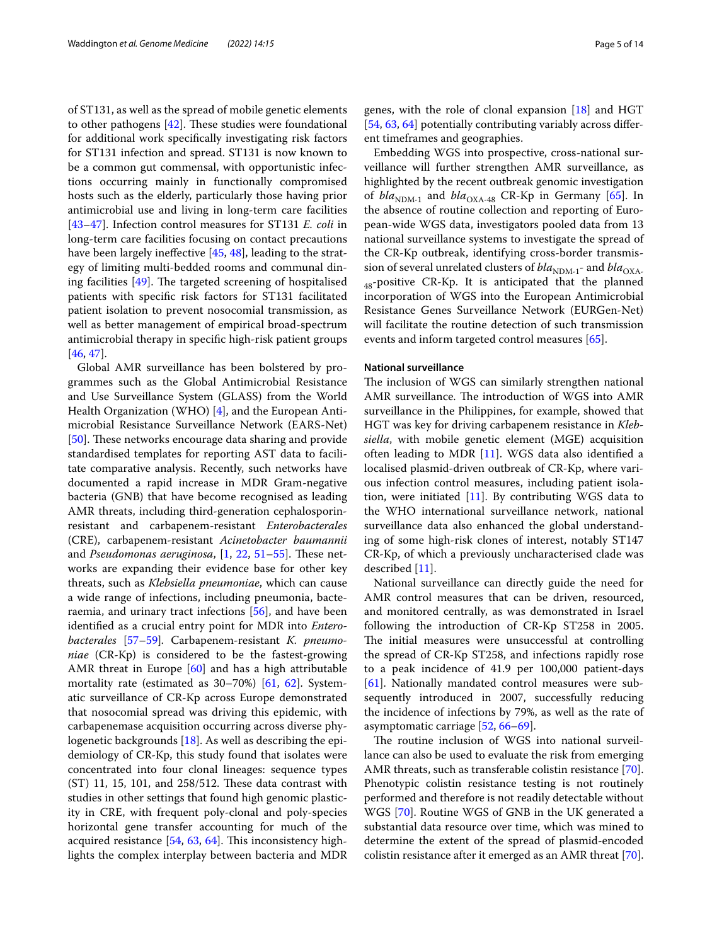of ST131, as well as the spread of mobile genetic elements to other pathogens  $[42]$  $[42]$ . These studies were foundational for additional work specifcally investigating risk factors for ST131 infection and spread. ST131 is now known to be a common gut commensal, with opportunistic infections occurring mainly in functionally compromised hosts such as the elderly, particularly those having prior antimicrobial use and living in long-term care facilities [[43–](#page-10-34)[47](#page-11-0)]. Infection control measures for ST131 *E. coli* in long-term care facilities focusing on contact precautions have been largely ineffective [[45,](#page-10-35) [48](#page-11-1)], leading to the strategy of limiting multi-bedded rooms and communal dining facilities  $[49]$  $[49]$ . The targeted screening of hospitalised patients with specifc risk factors for ST131 facilitated patient isolation to prevent nosocomial transmission, as well as better management of empirical broad-spectrum antimicrobial therapy in specifc high-risk patient groups [[46,](#page-11-3) [47](#page-11-0)].

Global AMR surveillance has been bolstered by programmes such as the Global Antimicrobial Resistance and Use Surveillance System (GLASS) from the World Health Organization (WHO) [\[4\]](#page-10-1), and the European Antimicrobial Resistance Surveillance Network (EARS-Net) [[50\]](#page-11-4). These networks encourage data sharing and provide standardised templates for reporting AST data to facilitate comparative analysis. Recently, such networks have documented a rapid increase in MDR Gram-negative bacteria (GNB) that have become recognised as leading AMR threats, including third-generation cephalosporinresistant and carbapenem-resistant *Enterobacterales* (CRE), carbapenem-resistant *Acinetobacter baumannii* and *Pseudomonas aeruginosa*, [\[1](#page-9-0), [22](#page-10-28), [51–](#page-11-5)[55](#page-11-6)]. These networks are expanding their evidence base for other key threats, such as *Klebsiella pneumoniae*, which can cause a wide range of infections, including pneumonia, bacteraemia, and urinary tract infections [[56\]](#page-11-7), and have been identifed as a crucial entry point for MDR into *Enterobacterales* [\[57](#page-11-8)[–59](#page-11-9)]*.* Carbapenem-resistant *K. pneumoniae* (CR-Kp) is considered to be the fastest-growing AMR threat in Europe [\[60](#page-11-10)] and has a high attributable mortality rate (estimated as 30–70%) [[61,](#page-11-11) [62](#page-11-12)]. Systematic surveillance of CR-Kp across Europe demonstrated that nosocomial spread was driving this epidemic, with carbapenemase acquisition occurring across diverse phylogenetic backgrounds [\[18](#page-10-24)]. As well as describing the epidemiology of CR-Kp, this study found that isolates were concentrated into four clonal lineages: sequence types  $(ST)$  11, 15, 101, and 258/512. These data contrast with studies in other settings that found high genomic plasticity in CRE, with frequent poly-clonal and poly-species horizontal gene transfer accounting for much of the acquired resistance  $[54, 63, 64]$  $[54, 63, 64]$  $[54, 63, 64]$  $[54, 63, 64]$  $[54, 63, 64]$  $[54, 63, 64]$ . This inconsistency highlights the complex interplay between bacteria and MDR genes, with the role of clonal expansion [\[18](#page-10-24)] and HGT [[54,](#page-11-13) [63](#page-11-14), [64](#page-11-15)] potentially contributing variably across different timeframes and geographies.

Embedding WGS into prospective, cross-national surveillance will further strengthen AMR surveillance, as highlighted by the recent outbreak genomic investigation of  $bla_{NDM-1}$  and  $bla_{OXA-48}$  CR-Kp in Germany [\[65\]](#page-11-16). In the absence of routine collection and reporting of European-wide WGS data, investigators pooled data from 13 national surveillance systems to investigate the spread of the CR-Kp outbreak, identifying cross-border transmission of several unrelated clusters of  $bla_{\text{NDM-1}}$ - and  $bla_{\text{OXA}}$  $_{48}$ -positive CR-Kp. It is anticipated that the planned incorporation of WGS into the European Antimicrobial Resistance Genes Surveillance Network (EURGen-Net) will facilitate the routine detection of such transmission events and inform targeted control measures [\[65\]](#page-11-16).

## **National surveillance**

The inclusion of WGS can similarly strengthen national AMR surveillance. The introduction of WGS into AMR surveillance in the Philippines, for example, showed that HGT was key for driving carbapenem resistance in *Klebsiella*, with mobile genetic element (MGE) acquisition often leading to MDR [[11\]](#page-10-6). WGS data also identifed a localised plasmid-driven outbreak of CR-Kp, where various infection control measures, including patient isolation, were initiated  $[11]$  $[11]$ . By contributing WGS data to the WHO international surveillance network, national surveillance data also enhanced the global understanding of some high-risk clones of interest, notably ST147 CR-Kp, of which a previously uncharacterised clade was described [[11\]](#page-10-6).

National surveillance can directly guide the need for AMR control measures that can be driven, resourced, and monitored centrally, as was demonstrated in Israel following the introduction of CR-Kp ST258 in 2005. The initial measures were unsuccessful at controlling the spread of CR-Kp ST258, and infections rapidly rose to a peak incidence of 41.9 per 100,000 patient-days [[61\]](#page-11-11). Nationally mandated control measures were subsequently introduced in 2007, successfully reducing the incidence of infections by 79%, as well as the rate of asymptomatic carriage [\[52](#page-11-17), [66](#page-11-18)[–69](#page-11-19)].

The routine inclusion of WGS into national surveillance can also be used to evaluate the risk from emerging AMR threats, such as transferable colistin resistance [\[70](#page-11-20)]. Phenotypic colistin resistance testing is not routinely performed and therefore is not readily detectable without WGS [\[70](#page-11-20)]. Routine WGS of GNB in the UK generated a substantial data resource over time, which was mined to determine the extent of the spread of plasmid-encoded colistin resistance after it emerged as an AMR threat [\[70](#page-11-20)].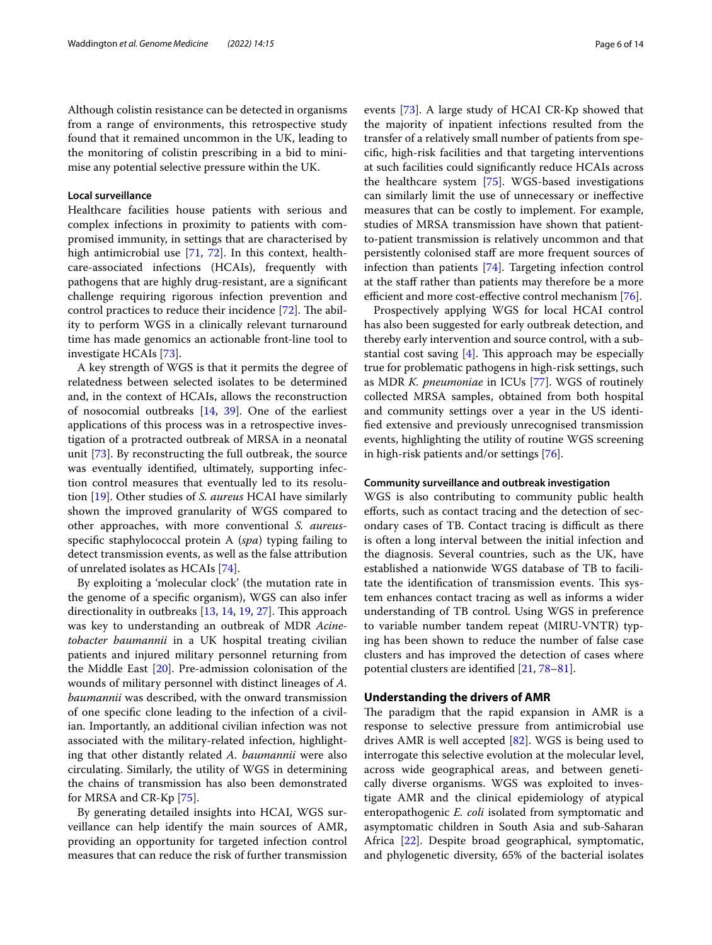Although colistin resistance can be detected in organisms from a range of environments, this retrospective study found that it remained uncommon in the UK, leading to the monitoring of colistin prescribing in a bid to minimise any potential selective pressure within the UK.

## **Local surveillance**

Healthcare facilities house patients with serious and complex infections in proximity to patients with compromised immunity, in settings that are characterised by high antimicrobial use [\[71,](#page-11-21) [72\]](#page-11-22). In this context, healthcare-associated infections (HCAIs), frequently with pathogens that are highly drug-resistant, are a signifcant challenge requiring rigorous infection prevention and control practices to reduce their incidence  $[72]$  $[72]$ . The ability to perform WGS in a clinically relevant turnaround time has made genomics an actionable front-line tool to investigate HCAIs [[73\]](#page-11-23).

A key strength of WGS is that it permits the degree of relatedness between selected isolates to be determined and, in the context of HCAIs, allows the reconstruction of nosocomial outbreaks [\[14](#page-10-8), [39](#page-10-21)]. One of the earliest applications of this process was in a retrospective investigation of a protracted outbreak of MRSA in a neonatal unit [\[73](#page-11-23)]. By reconstructing the full outbreak, the source was eventually identifed, ultimately, supporting infection control measures that eventually led to its resolution [\[19\]](#page-10-25). Other studies of *S. aureus* HCAI have similarly shown the improved granularity of WGS compared to other approaches, with more conventional *S. aureus*specifc staphylococcal protein A (*spa*) typing failing to detect transmission events, as well as the false attribution of unrelated isolates as HCAIs [[74](#page-11-24)].

By exploiting a 'molecular clock' (the mutation rate in the genome of a specifc organism), WGS can also infer directionality in outbreaks [[13](#page-10-9), [14](#page-10-8), [19,](#page-10-25) [27](#page-10-13)]. This approach was key to understanding an outbreak of MDR *Acinetobacter baumannii* in a UK hospital treating civilian patients and injured military personnel returning from the Middle East [[20](#page-10-26)]. Pre-admission colonisation of the wounds of military personnel with distinct lineages of *A. baumannii* was described, with the onward transmission of one specifc clone leading to the infection of a civilian. Importantly, an additional civilian infection was not associated with the military-related infection, highlighting that other distantly related *A. baumannii* were also circulating. Similarly, the utility of WGS in determining the chains of transmission has also been demonstrated for MRSA and CR-Kp [[75](#page-11-25)].

By generating detailed insights into HCAI, WGS surveillance can help identify the main sources of AMR, providing an opportunity for targeted infection control measures that can reduce the risk of further transmission events [[73](#page-11-23)]. A large study of HCAI CR-Kp showed that the majority of inpatient infections resulted from the transfer of a relatively small number of patients from specifc, high-risk facilities and that targeting interventions at such facilities could signifcantly reduce HCAIs across the healthcare system [\[75\]](#page-11-25). WGS-based investigations can similarly limit the use of unnecessary or inefective measures that can be costly to implement. For example, studies of MRSA transmission have shown that patientto-patient transmission is relatively uncommon and that persistently colonised staff are more frequent sources of infection than patients [[74\]](#page-11-24). Targeting infection control at the staf rather than patients may therefore be a more efficient and more cost-effective control mechanism [[76\]](#page-11-26).

Prospectively applying WGS for local HCAI control has also been suggested for early outbreak detection, and thereby early intervention and source control, with a substantial cost saving  $[4]$  $[4]$ . This approach may be especially true for problematic pathogens in high-risk settings, such as MDR *K. pneumoniae* in ICUs [\[77](#page-11-27)]. WGS of routinely collected MRSA samples, obtained from both hospital and community settings over a year in the US identifed extensive and previously unrecognised transmission events, highlighting the utility of routine WGS screening in high-risk patients and/or settings [\[76](#page-11-26)].

## **Community surveillance and outbreak investigation**

WGS is also contributing to community public health eforts, such as contact tracing and the detection of secondary cases of TB. Contact tracing is difficult as there is often a long interval between the initial infection and the diagnosis. Several countries, such as the UK, have established a nationwide WGS database of TB to facilitate the identification of transmission events. This system enhances contact tracing as well as informs a wider understanding of TB control. Using WGS in preference to variable number tandem repeat (MIRU-VNTR) typing has been shown to reduce the number of false case clusters and has improved the detection of cases where potential clusters are identifed [\[21](#page-10-27), [78–](#page-11-28)[81](#page-11-29)].

## **Understanding the drivers of AMR**

The paradigm that the rapid expansion in AMR is a response to selective pressure from antimicrobial use drives AMR is well accepted [\[82](#page-11-30)]. WGS is being used to interrogate this selective evolution at the molecular level, across wide geographical areas, and between genetically diverse organisms. WGS was exploited to investigate AMR and the clinical epidemiology of atypical enteropathogenic *E. coli* isolated from symptomatic and asymptomatic children in South Asia and sub-Saharan Africa [\[22](#page-10-28)]. Despite broad geographical, symptomatic, and phylogenetic diversity, 65% of the bacterial isolates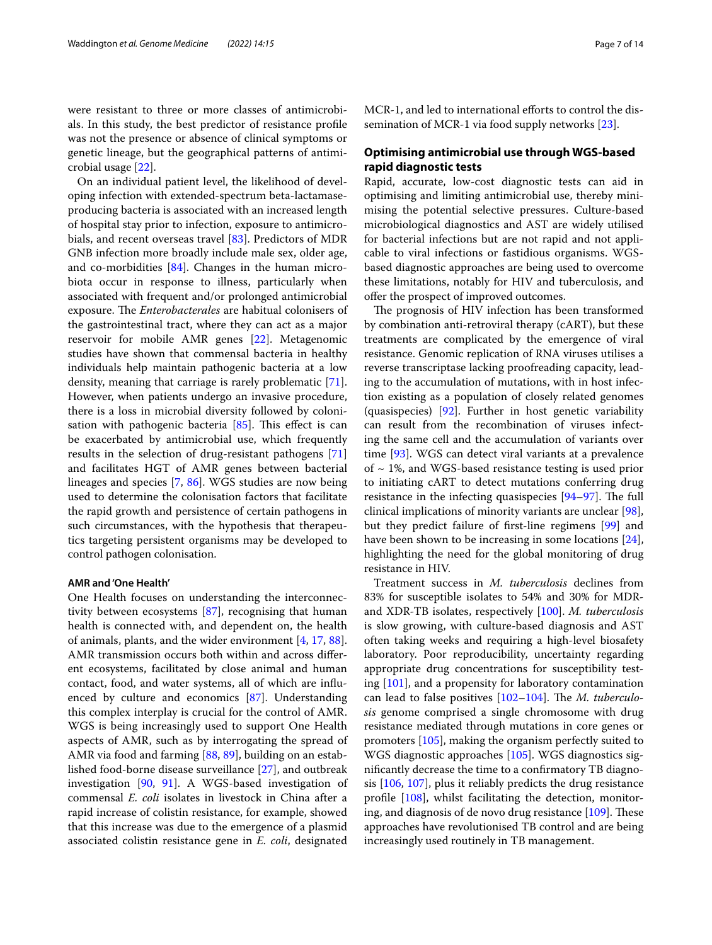were resistant to three or more classes of antimicrobials. In this study, the best predictor of resistance profle was not the presence or absence of clinical symptoms or genetic lineage, but the geographical patterns of antimicrobial usage [\[22](#page-10-28)].

On an individual patient level, the likelihood of developing infection with extended-spectrum beta-lactamaseproducing bacteria is associated with an increased length of hospital stay prior to infection, exposure to antimicrobials, and recent overseas travel [[83\]](#page-11-31). Predictors of MDR GNB infection more broadly include male sex, older age, and co-morbidities [[84\]](#page-11-32). Changes in the human microbiota occur in response to illness, particularly when associated with frequent and/or prolonged antimicrobial exposure. The *Enterobacterales* are habitual colonisers of the gastrointestinal tract, where they can act as a major reservoir for mobile AMR genes [[22\]](#page-10-28). Metagenomic studies have shown that commensal bacteria in healthy individuals help maintain pathogenic bacteria at a low density, meaning that carriage is rarely problematic [\[71](#page-11-21)]. However, when patients undergo an invasive procedure, there is a loss in microbial diversity followed by colonisation with pathogenic bacteria  $[85]$  $[85]$  $[85]$ . This effect is can be exacerbated by antimicrobial use, which frequently results in the selection of drug-resistant pathogens [[71](#page-11-21)] and facilitates HGT of AMR genes between bacterial lineages and species [\[7](#page-10-3), [86](#page-12-1)]. WGS studies are now being used to determine the colonisation factors that facilitate the rapid growth and persistence of certain pathogens in such circumstances, with the hypothesis that therapeutics targeting persistent organisms may be developed to control pathogen colonisation.

## **AMR and 'One Health'**

One Health focuses on understanding the interconnectivity between ecosystems [\[87\]](#page-12-2), recognising that human health is connected with, and dependent on, the health of animals, plants, and the wider environment [\[4,](#page-10-1) [17,](#page-10-12) [88](#page-12-3)]. AMR transmission occurs both within and across diferent ecosystems, facilitated by close animal and human contact, food, and water systems, all of which are infuenced by culture and economics [[87\]](#page-12-2). Understanding this complex interplay is crucial for the control of AMR. WGS is being increasingly used to support One Health aspects of AMR, such as by interrogating the spread of AMR via food and farming [\[88](#page-12-3), [89\]](#page-12-4), building on an established food-borne disease surveillance [[27\]](#page-10-13), and outbreak investigation [[90,](#page-12-5) [91](#page-12-6)]. A WGS-based investigation of commensal *E. coli* isolates in livestock in China after a rapid increase of colistin resistance, for example, showed that this increase was due to the emergence of a plasmid associated colistin resistance gene in *E. coli*, designated MCR-1, and led to international efforts to control the dissemination of MCR-1 via food supply networks [\[23\]](#page-10-29).

# **Optimising antimicrobial use through WGS‑based rapid diagnostic tests**

Rapid, accurate, low-cost diagnostic tests can aid in optimising and limiting antimicrobial use, thereby minimising the potential selective pressures. Culture-based microbiological diagnostics and AST are widely utilised for bacterial infections but are not rapid and not applicable to viral infections or fastidious organisms. WGSbased diagnostic approaches are being used to overcome these limitations, notably for HIV and tuberculosis, and ofer the prospect of improved outcomes.

The prognosis of HIV infection has been transformed by combination anti-retroviral therapy (cART), but these treatments are complicated by the emergence of viral resistance. Genomic replication of RNA viruses utilises a reverse transcriptase lacking proofreading capacity, leading to the accumulation of mutations, with in host infection existing as a population of closely related genomes (quasispecies) [\[92](#page-12-7)]. Further in host genetic variability can result from the recombination of viruses infecting the same cell and the accumulation of variants over time [[93](#page-12-8)]. WGS can detect viral variants at a prevalence of  $\sim$  1%, and WGS-based resistance testing is used prior to initiating cART to detect mutations conferring drug resistance in the infecting quasispecies  $[94-97]$  $[94-97]$ . The full clinical implications of minority variants are unclear [\[98](#page-12-11)], but they predict failure of frst-line regimens [[99\]](#page-12-12) and have been shown to be increasing in some locations [\[24](#page-10-30)], highlighting the need for the global monitoring of drug resistance in HIV.

Treatment success in *M. tuberculosis* declines from 83% for susceptible isolates to 54% and 30% for MDRand XDR-TB isolates, respectively [\[100](#page-12-13)]. *M. tuberculosis* is slow growing, with culture-based diagnosis and AST often taking weeks and requiring a high-level biosafety laboratory. Poor reproducibility, uncertainty regarding appropriate drug concentrations for susceptibility testing [[101](#page-12-14)], and a propensity for laboratory contamination can lead to false positives [[102–](#page-12-15)[104](#page-12-16)]. The *M. tuberculosis* genome comprised a single chromosome with drug resistance mediated through mutations in core genes or promoters [\[105\]](#page-12-17), making the organism perfectly suited to WGS diagnostic approaches [\[105\]](#page-12-17). WGS diagnostics signifcantly decrease the time to a confrmatory TB diagnosis [[106,](#page-12-18) [107](#page-12-19)], plus it reliably predicts the drug resistance profle [[108](#page-12-20)], whilst facilitating the detection, monitoring, and diagnosis of de novo drug resistance  $[109]$  $[109]$ . These approaches have revolutionised TB control and are being increasingly used routinely in TB management.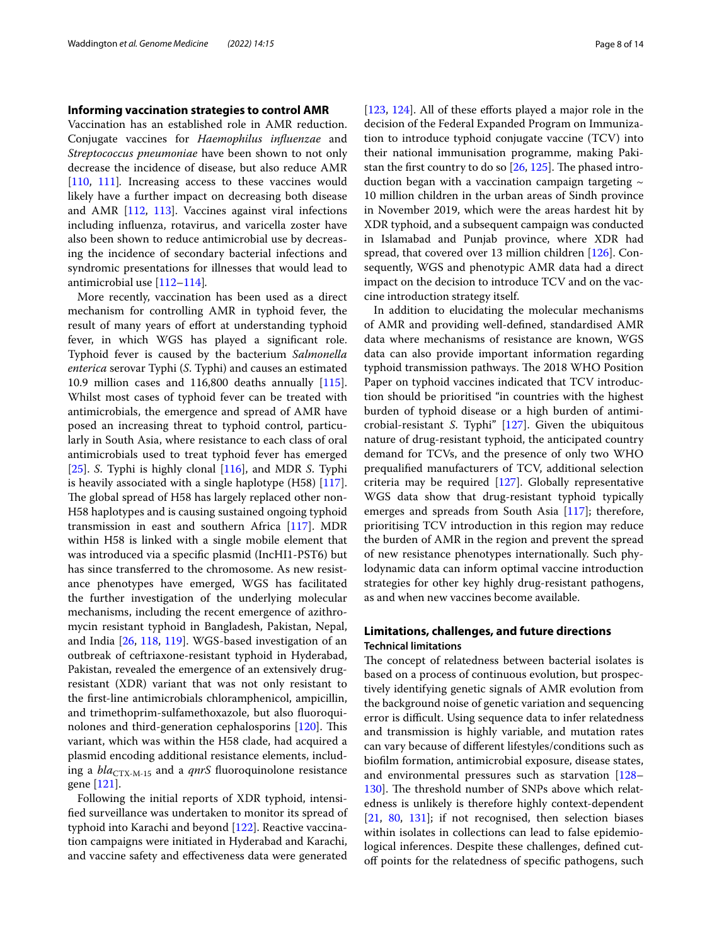## **Informing vaccination strategies to control AMR**

Vaccination has an established role in AMR reduction. Conjugate vaccines for *Haemophilus infuenzae* and *Streptococcus pneumoniae* have been shown to not only decrease the incidence of disease, but also reduce AMR [[110,](#page-12-22) [111\]](#page-12-23). Increasing access to these vaccines would likely have a further impact on decreasing both disease and AMR [[112,](#page-12-24) [113](#page-12-25)]. Vaccines against viral infections including infuenza, rotavirus, and varicella zoster have also been shown to reduce antimicrobial use by decreasing the incidence of secondary bacterial infections and syndromic presentations for illnesses that would lead to antimicrobial use [[112–](#page-12-24)[114](#page-12-26)]*.*

More recently, vaccination has been used as a direct mechanism for controlling AMR in typhoid fever, the result of many years of effort at understanding typhoid fever, in which WGS has played a signifcant role. Typhoid fever is caused by the bacterium *Salmonella enterica* serovar Typhi (*S*. Typhi) and causes an estimated 10.9 million cases and 116,800 deaths annually [\[115](#page-12-27)]. Whilst most cases of typhoid fever can be treated with antimicrobials, the emergence and spread of AMR have posed an increasing threat to typhoid control, particularly in South Asia, where resistance to each class of oral antimicrobials used to treat typhoid fever has emerged [[25\]](#page-10-31). *S*. Typhi is highly clonal [\[116](#page-12-28)], and MDR *S*. Typhi is heavily associated with a single haplotype (H58) [\[117](#page-12-29)]. The global spread of H58 has largely replaced other non-H58 haplotypes and is causing sustained ongoing typhoid transmission in east and southern Africa [\[117\]](#page-12-29). MDR within H58 is linked with a single mobile element that was introduced via a specifc plasmid (IncHI1-PST6) but has since transferred to the chromosome. As new resistance phenotypes have emerged, WGS has facilitated the further investigation of the underlying molecular mechanisms, including the recent emergence of azithromycin resistant typhoid in Bangladesh, Pakistan, Nepal, and India [\[26](#page-10-32), [118](#page-12-30), [119\]](#page-12-31). WGS-based investigation of an outbreak of ceftriaxone-resistant typhoid in Hyderabad, Pakistan, revealed the emergence of an extensively drugresistant (XDR) variant that was not only resistant to the frst-line antimicrobials chloramphenicol, ampicillin, and trimethoprim-sulfamethoxazole, but also fuoroqui-nolones and third-generation cephalosporins [[120](#page-12-32)]. This variant, which was within the H58 clade, had acquired a plasmid encoding additional resistance elements, including a *bla*<sub>CTX-M-15</sub> and a *qnrS* fluoroquinolone resistance gene [\[121](#page-12-33)].

Following the initial reports of XDR typhoid, intensifed surveillance was undertaken to monitor its spread of typhoid into Karachi and beyond [[122\]](#page-12-34). Reactive vaccination campaigns were initiated in Hyderabad and Karachi, and vaccine safety and efectiveness data were generated [[123,](#page-12-35) [124\]](#page-12-36). All of these efforts played a major role in the decision of the Federal Expanded Program on Immunization to introduce typhoid conjugate vaccine (TCV) into their national immunisation programme, making Pakistan the first country to do so  $[26, 125]$  $[26, 125]$  $[26, 125]$  $[26, 125]$ . The phased introduction began with a vaccination campaign targeting  $\sim$ 10 million children in the urban areas of Sindh province in November 2019, which were the areas hardest hit by XDR typhoid, and a subsequent campaign was conducted in Islamabad and Punjab province, where XDR had spread, that covered over 13 million children [[126\]](#page-13-0). Consequently, WGS and phenotypic AMR data had a direct impact on the decision to introduce TCV and on the vaccine introduction strategy itself.

In addition to elucidating the molecular mechanisms of AMR and providing well-defned, standardised AMR data where mechanisms of resistance are known, WGS data can also provide important information regarding typhoid transmission pathways. The 2018 WHO Position Paper on typhoid vaccines indicated that TCV introduction should be prioritised "in countries with the highest burden of typhoid disease or a high burden of antimicrobial-resistant *S*. Typhi" [\[127\]](#page-13-1). Given the ubiquitous nature of drug-resistant typhoid, the anticipated country demand for TCVs, and the presence of only two WHO prequalifed manufacturers of TCV, additional selection criteria may be required [\[127\]](#page-13-1). Globally representative WGS data show that drug-resistant typhoid typically emerges and spreads from South Asia [[117](#page-12-29)]; therefore, prioritising TCV introduction in this region may reduce the burden of AMR in the region and prevent the spread of new resistance phenotypes internationally. Such phylodynamic data can inform optimal vaccine introduction strategies for other key highly drug-resistant pathogens, as and when new vaccines become available.

# **Limitations, challenges, and future directions Technical limitations**

The concept of relatedness between bacterial isolates is based on a process of continuous evolution, but prospectively identifying genetic signals of AMR evolution from the background noise of genetic variation and sequencing error is difficult. Using sequence data to infer relatedness and transmission is highly variable, and mutation rates can vary because of diferent lifestyles/conditions such as bioflm formation, antimicrobial exposure, disease states, and environmental pressures such as starvation [[128–](#page-13-2) [130](#page-13-3)]. The threshold number of SNPs above which relatedness is unlikely is therefore highly context-dependent  $[21, 80, 131]$  $[21, 80, 131]$  $[21, 80, 131]$  $[21, 80, 131]$  $[21, 80, 131]$  $[21, 80, 131]$ ; if not recognised, then selection biases within isolates in collections can lead to false epidemiological inferences. Despite these challenges, defned cutoff points for the relatedness of specific pathogens, such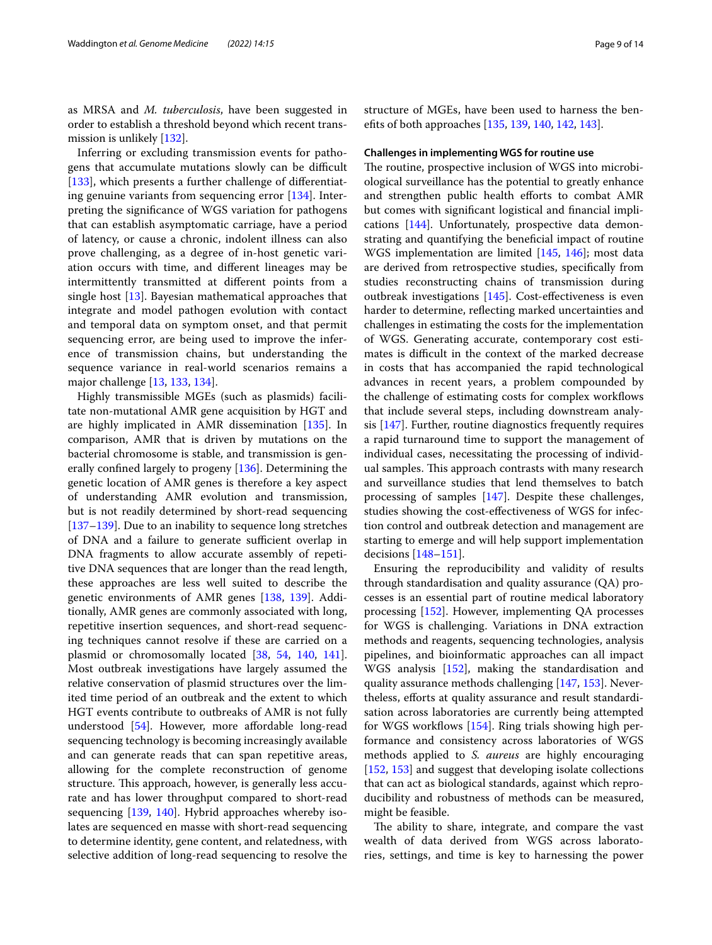as MRSA and *M. tuberculosis*, have been suggested in order to establish a threshold beyond which recent transmission is unlikely [\[132](#page-13-5)].

Inferring or excluding transmission events for pathogens that accumulate mutations slowly can be difficult [[133\]](#page-13-6), which presents a further challenge of differentiating genuine variants from sequencing error [[134\]](#page-13-7). Interpreting the signifcance of WGS variation for pathogens that can establish asymptomatic carriage, have a period of latency, or cause a chronic, indolent illness can also prove challenging, as a degree of in-host genetic variation occurs with time, and diferent lineages may be intermittently transmitted at diferent points from a single host [[13\]](#page-10-9). Bayesian mathematical approaches that integrate and model pathogen evolution with contact and temporal data on symptom onset, and that permit sequencing error, are being used to improve the inference of transmission chains, but understanding the sequence variance in real-world scenarios remains a major challenge [[13,](#page-10-9) [133](#page-13-6), [134\]](#page-13-7).

Highly transmissible MGEs (such as plasmids) facilitate non-mutational AMR gene acquisition by HGT and are highly implicated in AMR dissemination [[135\]](#page-13-8). In comparison, AMR that is driven by mutations on the bacterial chromosome is stable, and transmission is generally confned largely to progeny [[136](#page-13-9)]. Determining the genetic location of AMR genes is therefore a key aspect of understanding AMR evolution and transmission, but is not readily determined by short-read sequencing [[137–](#page-13-10)[139](#page-13-11)]. Due to an inability to sequence long stretches of DNA and a failure to generate sufficient overlap in DNA fragments to allow accurate assembly of repetitive DNA sequences that are longer than the read length, these approaches are less well suited to describe the genetic environments of AMR genes [\[138,](#page-13-12) [139](#page-13-11)]. Additionally, AMR genes are commonly associated with long, repetitive insertion sequences, and short-read sequencing techniques cannot resolve if these are carried on a plasmid or chromosomally located [\[38](#page-10-19), [54](#page-11-13), [140](#page-13-13), [141](#page-13-14)]. Most outbreak investigations have largely assumed the relative conservation of plasmid structures over the limited time period of an outbreak and the extent to which HGT events contribute to outbreaks of AMR is not fully understood [[54](#page-11-13)]. However, more affordable long-read sequencing technology is becoming increasingly available and can generate reads that can span repetitive areas, allowing for the complete reconstruction of genome structure. This approach, however, is generally less accurate and has lower throughput compared to short-read sequencing [[139,](#page-13-11) [140](#page-13-13)]. Hybrid approaches whereby isolates are sequenced en masse with short-read sequencing to determine identity, gene content, and relatedness, with selective addition of long-read sequencing to resolve the structure of MGEs, have been used to harness the benefts of both approaches [[135](#page-13-8), [139,](#page-13-11) [140,](#page-13-13) [142](#page-13-15), [143\]](#page-13-16).

#### **Challenges in implementing WGS for routine use**

The routine, prospective inclusion of WGS into microbiological surveillance has the potential to greatly enhance and strengthen public health efforts to combat AMR but comes with signifcant logistical and fnancial implications [\[144\]](#page-13-17). Unfortunately, prospective data demonstrating and quantifying the benefcial impact of routine WGS implementation are limited [\[145,](#page-13-18) [146\]](#page-13-19); most data are derived from retrospective studies, specifcally from studies reconstructing chains of transmission during outbreak investigations [[145\]](#page-13-18). Cost-efectiveness is even harder to determine, refecting marked uncertainties and challenges in estimating the costs for the implementation of WGS. Generating accurate, contemporary cost estimates is difficult in the context of the marked decrease in costs that has accompanied the rapid technological advances in recent years, a problem compounded by the challenge of estimating costs for complex workflows that include several steps, including downstream analysis [[147\]](#page-13-20). Further, routine diagnostics frequently requires a rapid turnaround time to support the management of individual cases, necessitating the processing of individual samples. This approach contrasts with many research and surveillance studies that lend themselves to batch processing of samples [[147](#page-13-20)]. Despite these challenges, studies showing the cost-efectiveness of WGS for infection control and outbreak detection and management are starting to emerge and will help support implementation decisions [\[148–](#page-13-21)[151\]](#page-13-22).

Ensuring the reproducibility and validity of results through standardisation and quality assurance (QA) processes is an essential part of routine medical laboratory processing [[152\]](#page-13-23). However, implementing QA processes for WGS is challenging. Variations in DNA extraction methods and reagents, sequencing technologies, analysis pipelines, and bioinformatic approaches can all impact WGS analysis [[152](#page-13-23)], making the standardisation and quality assurance methods challenging [\[147](#page-13-20), [153](#page-13-24)]. Nevertheless, efforts at quality assurance and result standardisation across laboratories are currently being attempted for WGS workflows [[154](#page-13-25)]. Ring trials showing high performance and consistency across laboratories of WGS methods applied to *S. aureus* are highly encouraging [[152,](#page-13-23) [153](#page-13-24)] and suggest that developing isolate collections that can act as biological standards, against which reproducibility and robustness of methods can be measured, might be feasible.

The ability to share, integrate, and compare the vast wealth of data derived from WGS across laboratories, settings, and time is key to harnessing the power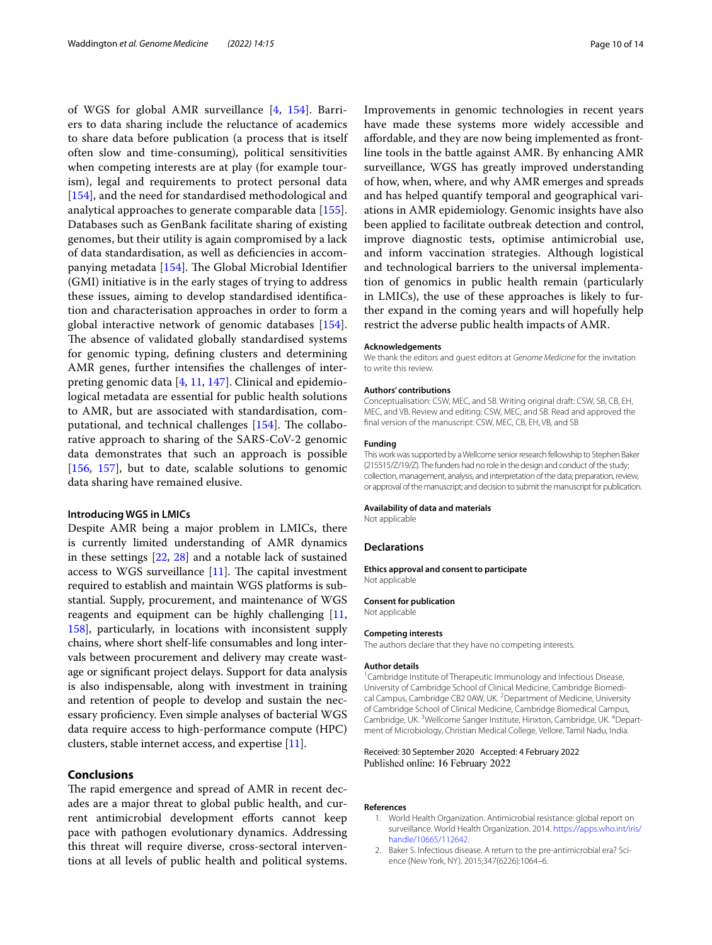of WGS for global AMR surveillance [[4](#page-10-1), [154\]](#page-13-25). Barriers to data sharing include the reluctance of academics to share data before publication (a process that is itself often slow and time-consuming), political sensitivities when competing interests are at play (for example tourism), legal and requirements to protect personal data [[154\]](#page-13-25), and the need for standardised methodological and analytical approaches to generate comparable data [\[155](#page-13-26)]. Databases such as GenBank facilitate sharing of existing genomes, but their utility is again compromised by a lack of data standardisation, as well as defciencies in accom-panying metadata [[154\]](#page-13-25). The Global Microbial Identifier (GMI) initiative is in the early stages of trying to address these issues, aiming to develop standardised identifcation and characterisation approaches in order to form a global interactive network of genomic databases [\[154](#page-13-25)]. The absence of validated globally standardised systems for genomic typing, defning clusters and determining AMR genes, further intensifes the challenges of interpreting genomic data [[4,](#page-10-1) [11](#page-10-6), [147\]](#page-13-20). Clinical and epidemiological metadata are essential for public health solutions to AMR, but are associated with standardisation, computational, and technical challenges  $[154]$  $[154]$ . The collaborative approach to sharing of the SARS-CoV-2 genomic data demonstrates that such an approach is possible [[156,](#page-13-27) [157\]](#page-13-28), but to date, scalable solutions to genomic data sharing have remained elusive.

## **Introducing WGS in LMICs**

Despite AMR being a major problem in LMICs, there is currently limited understanding of AMR dynamics in these settings [\[22,](#page-10-28) [28](#page-10-14)] and a notable lack of sustained access to WGS surveillance  $[11]$  $[11]$  $[11]$ . The capital investment required to establish and maintain WGS platforms is substantial. Supply, procurement, and maintenance of WGS reagents and equipment can be highly challenging [[11](#page-10-6), [158](#page-13-29)], particularly, in locations with inconsistent supply chains, where short shelf-life consumables and long intervals between procurement and delivery may create wastage or signifcant project delays. Support for data analysis is also indispensable, along with investment in training and retention of people to develop and sustain the necessary profciency. Even simple analyses of bacterial WGS data require access to high-performance compute (HPC) clusters, stable internet access, and expertise [\[11](#page-10-6)].

# **Conclusions**

The rapid emergence and spread of AMR in recent decades are a major threat to global public health, and current antimicrobial development efforts cannot keep pace with pathogen evolutionary dynamics. Addressing this threat will require diverse, cross-sectoral interventions at all levels of public health and political systems.

Improvements in genomic technologies in recent years have made these systems more widely accessible and afordable, and they are now being implemented as frontline tools in the battle against AMR. By enhancing AMR surveillance, WGS has greatly improved understanding of how, when, where, and why AMR emerges and spreads and has helped quantify temporal and geographical variations in AMR epidemiology. Genomic insights have also been applied to facilitate outbreak detection and control, improve diagnostic tests, optimise antimicrobial use, and inform vaccination strategies. Although logistical and technological barriers to the universal implementation of genomics in public health remain (particularly in LMICs), the use of these approaches is likely to further expand in the coming years and will hopefully help restrict the adverse public health impacts of AMR.

#### **Acknowledgements**

We thank the editors and guest editors at *Genome Medicine* for the invitation to write this review.

#### **Authors' contributions**

Conceptualisation: CSW, MEC, and SB. Writing original draft: CSW, SB, CB, EH, MEC, and VB. Review and editing: CSW, MEC, and SB. Read and approved the fnal version of the manuscript: CSW, MEC, CB, EH, VB, and SB

#### **Funding**

This work was supported by a Wellcome senior research fellowship to Stephen Baker (215515/Z/19/Z). The funders had no role in the design and conduct of the study; collection, management, analysis, and interpretation of the data; preparation, review, or approval of the manuscript; and decision to submit the manuscript for publication.

#### **Availability of data and materials**

Not applicable

# **Declarations**

**Ethics approval and consent to participate** Not applicable

#### **Consent for publication**

Not applicable

#### **Competing interests**

The authors declare that they have no competing interests.

#### **Author details**

<sup>1</sup> Cambridge Institute of Therapeutic Immunology and Infectious Disease, University of Cambridge School of Clinical Medicine, Cambridge Biomedical Campus, Cambridge CB2 0AW, UK. <sup>2</sup> Department of Medicine, University of Cambridge School of Clinical Medicine, Cambridge Biomedical Campus, Cambridge, UK.<sup>3</sup>Wellcome Sanger Institute, Hinxton, Cambridge, UK.<sup>4</sup>Department of Microbiology, Christian Medical College, Vellore, Tamil Nadu, India.

### Received: 30 September 2020 Accepted: 4 February 2022 Published online: 16 February 2022

#### **References**

- <span id="page-9-0"></span>1. World Health Organization. Antimicrobial resistance: global report on surveillance. World Health Organization. 2014. [https://apps.who.int/iris/](https://apps.who.int/iris/handle/10665/112642) [handle/10665/112642.](https://apps.who.int/iris/handle/10665/112642)
- <span id="page-9-1"></span>2. Baker S. Infectious disease. A return to the pre-antimicrobial era? Science (New York, NY). 2015;347(6226):1064–6.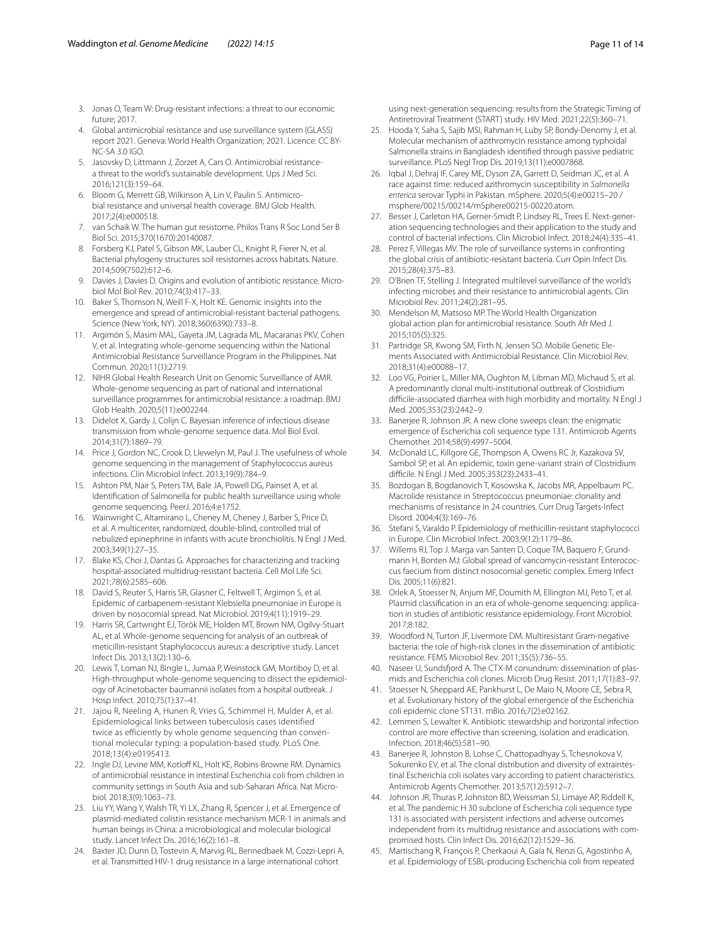- <span id="page-10-0"></span>3. Jonas O, Team W: Drug-resistant infections: a threat to our economic future; 2017.
- <span id="page-10-1"></span>4. Global antimicrobial resistance and use surveillance system (GLASS) report 2021. Geneva: World Health Organization; 2021. Licence: CC BY-NC-SA 3.0 IGO.
- 5. Jasovsky D, Littmann J, Zorzet A, Cars O. Antimicrobial resistancea threat to the world's sustainable development. Ups J Med Sci. 2016;121(3):159–64.
- <span id="page-10-2"></span>6. Bloom G, Merrett GB, Wilkinson A, Lin V, Paulin S. Antimicrobial resistance and universal health coverage. BMJ Glob Health. 2017;2(4):e000518.
- <span id="page-10-3"></span>7. van Schaik W. The human gut resistome. Philos Trans R Soc Lond Ser B Biol Sci. 2015;370(1670):20140087.
- 8. Forsberg KJ, Patel S, Gibson MK, Lauber CL, Knight R, Fierer N, et al. Bacterial phylogeny structures soil resistomes across habitats. Nature. 2014;509(7502):612–6.
- <span id="page-10-4"></span>9. Davies J, Davies D. Origins and evolution of antibiotic resistance. Microbiol Mol Biol Rev. 2010;74(3):417–33.
- <span id="page-10-5"></span>10. Baker S, Thomson N, Weill F-X, Holt KE. Genomic insights into the emergence and spread of antimicrobial-resistant bacterial pathogens. Science (New York, NY). 2018;360(6390):733–8.
- <span id="page-10-6"></span>11. Argimón S, Masim MAL, Gayeta JM, Lagrada ML, Macaranas PKV, Cohen V, et al. Integrating whole-genome sequencing within the National Antimicrobial Resistance Surveillance Program in the Philippines. Nat Commun. 2020;11(1):2719.
- <span id="page-10-7"></span>12. NIHR Global Health Research Unit on Genomic Surveillance of AMR. Whole-genome sequencing as part of national and international surveillance programmes for antimicrobial resistance: a roadmap. BMJ Glob Health. 2020;5(11):e002244.
- <span id="page-10-9"></span>13. Didelot X, Gardy J, Colijn C. Bayesian inference of infectious disease transmission from whole-genome sequence data. Mol Biol Evol. 2014;31(7):1869–79.
- <span id="page-10-8"></span>14. Price J, Gordon NC, Crook D, Llewelyn M, Paul J. The usefulness of whole genome sequencing in the management of Staphylococcus aureus infections. Clin Microbiol Infect. 2013;19(9):784–9.
- <span id="page-10-10"></span>15. Ashton PM, Nair S, Peters TM, Bale JA, Powell DG, Painset A, et al. Identifcation of Salmonella for public health surveillance using whole genome sequencing. PeerJ. 2016;4:e1752.
- <span id="page-10-11"></span>16. Wainwright C, Altamirano L, Cheney M, Cheney J, Barber S, Price D, et al. A multicenter, randomized, double-blind, controlled trial of nebulized epinephrine in infants with acute bronchiolitis. N Engl J Med. 2003;349(1):27–35.
- <span id="page-10-12"></span>17. Blake KS, Choi J, Dantas G. Approaches for characterizing and tracking hospital-associated multidrug-resistant bacteria. Cell Mol Life Sci. 2021;78(6):2585–606.
- <span id="page-10-24"></span>18. David S, Reuter S, Harris SR, Glasner C, Feltwell T, Argimon S, et al. Epidemic of carbapenem-resistant Klebsiella pneumoniae in Europe is driven by nosocomial spread. Nat Microbiol. 2019;4(11):1919–29.
- <span id="page-10-25"></span>19. Harris SR, Cartwright EJ, Török ME, Holden MT, Brown NM, Ogilvy-Stuart AL, et al. Whole-genome sequencing for analysis of an outbreak of meticillin-resistant Staphylococcus aureus: a descriptive study. Lancet Infect Dis. 2013;13(2):130–6.
- <span id="page-10-26"></span>20. Lewis T, Loman NJ, Bingle L, Jumaa P, Weinstock GM, Mortiboy D, et al. High-throughput whole-genome sequencing to dissect the epidemiology of Acinetobacter baumannii isolates from a hospital outbreak. J Hosp Infect. 2010;75(1):37–41.
- <span id="page-10-27"></span>21. Jajou R, Neeling A, Hunen R, Vries G, Schimmel H, Mulder A, et al. Epidemiological links between tuberculosis cases identified twice as efficiently by whole genome sequencing than conventional molecular typing: a population-based study. PLoS One. 2018;13(4):e0195413.
- <span id="page-10-28"></span>22. Ingle DJ, Levine MM, Kotloff KL, Holt KE, Robins-Browne RM. Dynamics of antimicrobial resistance in intestinal Escherichia coli from children in community settings in South Asia and sub-Saharan Africa. Nat Microbiol. 2018;3(9):1063–73.
- <span id="page-10-29"></span>23. Liu YY, Wang Y, Walsh TR, Yi LX, Zhang R, Spencer J, et al. Emergence of plasmid-mediated colistin resistance mechanism MCR-1 in animals and human beings in China: a microbiological and molecular biological study. Lancet Infect Dis. 2016;16(2):161–8.
- <span id="page-10-30"></span>Baxter JD, Dunn D, Tostevin A, Marvig RL, Bennedbaek M, Cozzi-Lepri A, et al. Transmitted HIV-1 drug resistance in a large international cohort

using next-generation sequencing: results from the Strategic Timing of Antiretroviral Treatment (START) study. HIV Med. 2021;22(5):360–71.

- <span id="page-10-31"></span>25. Hooda Y, Saha S, Sajib MSI, Rahman H, Luby SP, Bondy-Denomy J, et al. Molecular mechanism of azithromycin resistance among typhoidal Salmonella strains in Bangladesh identifed through passive pediatric surveillance. PLoS Negl Trop Dis. 2019;13(11):e0007868.
- <span id="page-10-32"></span>26. Iqbal J, Dehraj IF, Carey ME, Dyson ZA, Garrett D, Seidman JC, et al. A race against time: reduced azithromycin susceptibility in *Salmonella enterica* serovar Typhi in Pakistan. mSphere. 2020;5(4):e00215–20 / msphere/00215/00214/mSphere00215-00220.atom.
- <span id="page-10-13"></span>27. Besser J, Carleton HA, Gerner-Smidt P, Lindsey RL, Trees E. Next-generation sequencing technologies and their application to the study and control of bacterial infections. Clin Microbiol Infect. 2018;24(4):335–41.
- <span id="page-10-14"></span>28. Perez F, Villegas MV. The role of surveillance systems in confronting the global crisis of antibiotic-resistant bacteria. Curr Opin Infect Dis. 2015;28(4):375–83.
- 29. O'Brien TF, Stelling J. Integrated multilevel surveillance of the world's infecting microbes and their resistance to antimicrobial agents. Clin Microbiol Rev. 2011;24(2):281–95.
- <span id="page-10-15"></span>30. Mendelson M, Matsoso MP. The World Health Organization global action plan for antimicrobial resistance. South Afr Med J. 2015;105(5):325.
- <span id="page-10-16"></span>31. Partridge SR, Kwong SM, Firth N, Jensen SO. Mobile Genetic Elements Associated with Antimicrobial Resistance. Clin Microbiol Rev. 2018;31(4):e00088–17.
- <span id="page-10-17"></span>Loo VG, Poirier L, Miller MA, Oughton M, Libman MD, Michaud S, et al. A predominantly clonal multi-institutional outbreak of Clostridium difficile-associated diarrhea with high morbidity and mortality. N Engl J Med. 2005;353(23):2442–9.
- <span id="page-10-20"></span>33. Banerjee R, Johnson JR. A new clone sweeps clean: the enigmatic emergence of Escherichia coli sequence type 131. Antimicrob Agents Chemother. 2014;58(9):4997–5004.
- 34. McDonald LC, Killgore GE, Thompson A, Owens RC Jr, Kazakova SV, Sambol SP, et al. An epidemic, toxin gene-variant strain of Clostridium difficile. N Engl J Med. 2005;353(23):2433-41.
- 35. Bozdogan B, Bogdanovich T, Kosowska K, Jacobs MR, Appelbaum PC. Macrolide resistance in Streptococcus pneumoniae: clonality and mechanisms of resistance in 24 countries. Curr Drug Targets-Infect Disord. 2004;4(3):169–76.
- 36. Stefani S, Varaldo P. Epidemiology of methicillin-resistant staphylococci in Europe. Clin Microbiol Infect. 2003;9(12):1179–86.
- <span id="page-10-18"></span>37. Willems RJ, Top J. Marga van Santen D, Coque TM, Baquero F, Grundmann H, Bonten MJ: Global spread of vancomycin-resistant Enterococcus faecium from distinct nosocomial genetic complex. Emerg Infect Dis. 2005;11(6):821.
- <span id="page-10-19"></span>38. Orlek A, Stoesser N, Anjum MF, Doumith M, Ellington MJ, Peto T, et al. Plasmid classifcation in an era of whole-genome sequencing: application in studies of antibiotic resistance epidemiology. Front Microbiol. 2017;8:182.
- <span id="page-10-21"></span>39. Woodford N, Turton JF, Livermore DM. Multiresistant Gram-negative bacteria: the role of high-risk clones in the dissemination of antibiotic resistance. FEMS Microbiol Rev. 2011;35(5):736–55.
- <span id="page-10-22"></span>40. Naseer U, Sundsfjord A. The CTX-M conundrum: dissemination of plasmids and Escherichia coli clones. Microb Drug Resist. 2011;17(1):83–97.
- <span id="page-10-23"></span>41. Stoesser N, Sheppard AE, Pankhurst L, De Maio N, Moore CE, Sebra R, et al. Evolutionary history of the global emergence of the Escherichia coli epidemic clone ST131. mBio. 2016;7(2):e02162.
- <span id="page-10-33"></span>42. Lemmen S, Lewalter K. Antibiotic stewardship and horizontal infection control are more effective than screening, isolation and eradication. Infection. 2018;46(5):581–90.
- <span id="page-10-34"></span>43. Banerjee R, Johnston B, Lohse C, Chattopadhyay S, Tchesnokova V, Sokurenko EV, et al. The clonal distribution and diversity of extraintestinal Escherichia coli isolates vary according to patient characteristics. Antimicrob Agents Chemother. 2013;57(12):5912–7.
- 44. Johnson JR, Thuras P, Johnston BD, Weissman SJ, Limaye AP, Riddell K, et al. The pandemic H 30 subclone of Escherichia coli sequence type 131 is associated with persistent infections and adverse outcomes independent from its multidrug resistance and associations with compromised hosts. Clin Infect Dis. 2016;62(12):1529–36.
- <span id="page-10-35"></span>45. Martischang R, François P, Cherkaoui A, Gaïa N, Renzi G, Agostinho A, et al. Epidemiology of ESBL-producing Escherichia coli from repeated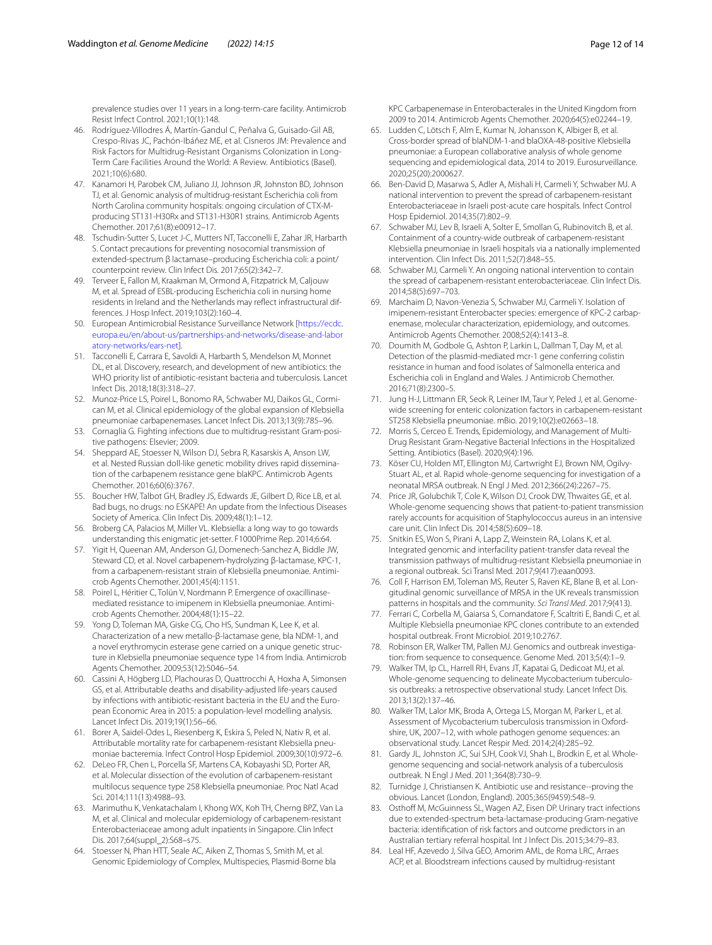prevalence studies over 11 years in a long-term-care facility. Antimicrob Resist Infect Control. 2021;10(1):148.

- <span id="page-11-3"></span>46. Rodríguez-Villodres Á, Martín-Gandul C, Peñalva G, Guisado-Gil AB, Crespo-Rivas JC, Pachón-Ibáñez ME, et al. Cisneros JM: Prevalence and Risk Factors for Multidrug-Resistant Organisms Colonization in Long-Term Care Facilities Around the World: A Review. Antibiotics (Basel). 2021;10(6):680.
- <span id="page-11-0"></span>47. Kanamori H, Parobek CM, Juliano JJ, Johnson JR, Johnston BD, Johnson TJ, et al. Genomic analysis of multidrug-resistant Escherichia coli from North Carolina community hospitals: ongoing circulation of CTX-Mproducing ST131-H30Rx and ST131-H30R1 strains. Antimicrob Agents Chemother. 2017;61(8):e00912–17.
- <span id="page-11-1"></span>48. Tschudin-Sutter S, Lucet J-C, Mutters NT, Tacconelli E, Zahar JR, Harbarth S. Contact precautions for preventing nosocomial transmission of extended-spectrum β lactamase–producing Escherichia coli: a point/ counterpoint review. Clin Infect Dis. 2017;65(2):342–7.
- <span id="page-11-2"></span>49. Terveer E, Fallon M, Kraakman M, Ormond A, Fitzpatrick M, Caljouw M, et al. Spread of ESBL-producing Escherichia coli in nursing home residents in Ireland and the Netherlands may refect infrastructural differences. J Hosp Infect. 2019;103(2):160–4.
- <span id="page-11-4"></span>50. European Antimicrobial Resistance Surveillance Network [\[https://ecdc.](https://ecdc.europa.eu/en/about-us/partnerships-and-networks/disease-and-laboratory-networks/ears-net) [europa.eu/en/about-us/partnerships-and-networks/disease-and-labor](https://ecdc.europa.eu/en/about-us/partnerships-and-networks/disease-and-laboratory-networks/ears-net) [atory-networks/ears-net](https://ecdc.europa.eu/en/about-us/partnerships-and-networks/disease-and-laboratory-networks/ears-net)].
- <span id="page-11-5"></span>51. Tacconelli E, Carrara E, Savoldi A, Harbarth S, Mendelson M, Monnet DL, et al. Discovery, research, and development of new antibiotics: the WHO priority list of antibiotic-resistant bacteria and tuberculosis. Lancet Infect Dis. 2018;18(3):318–27.
- <span id="page-11-17"></span>52. Munoz-Price LS, Poirel L, Bonomo RA, Schwaber MJ, Daikos GL, Cormican M, et al. Clinical epidemiology of the global expansion of Klebsiella pneumoniae carbapenemases. Lancet Infect Dis. 2013;13(9):785–96.
- 53. Cornaglia G. Fighting infections due to multidrug-resistant Gram-positive pathogens: Elsevier; 2009.
- <span id="page-11-13"></span>54. Sheppard AE, Stoesser N, Wilson DJ, Sebra R, Kasarskis A, Anson LW, et al. Nested Russian doll-like genetic mobility drives rapid dissemination of the carbapenem resistance gene blaKPC. Antimicrob Agents Chemother. 2016;60(6):3767.
- <span id="page-11-6"></span>55. Boucher HW, Talbot GH, Bradley JS, Edwards JE, Gilbert D, Rice LB, et al. Bad bugs, no drugs: no ESKAPE! An update from the Infectious Diseases Society of America. Clin Infect Dis. 2009;48(1):1–12.
- <span id="page-11-7"></span>56. Broberg CA, Palacios M, Miller VL. Klebsiella: a long way to go towards understanding this enigmatic jet-setter. F1000Prime Rep. 2014;6:64.
- <span id="page-11-8"></span>57. Yigit H, Queenan AM, Anderson GJ, Domenech-Sanchez A, Biddle JW, Steward CD, et al. Novel carbapenem-hydrolyzing β-lactamase, KPC-1, from a carbapenem-resistant strain of Klebsiella pneumoniae. Antimicrob Agents Chemother. 2001;45(4):1151.
- 58. Poirel L, Héritier C, Tolün V, Nordmann P. Emergence of oxacillinasemediated resistance to imipenem in Klebsiella pneumoniae. Antimicrob Agents Chemother. 2004;48(1):15–22.
- <span id="page-11-9"></span>59. Yong D, Toleman MA, Giske CG, Cho HS, Sundman K, Lee K, et al. Characterization of a new metallo-β-lactamase gene, bla NDM-1, and a novel erythromycin esterase gene carried on a unique genetic structure in Klebsiella pneumoniae sequence type 14 from India. Antimicrob Agents Chemother. 2009;53(12):5046–54.
- <span id="page-11-10"></span>60. Cassini A, Högberg LD, Plachouras D, Quattrocchi A, Hoxha A, Simonsen GS, et al. Attributable deaths and disability-adjusted life-years caused by infections with antibiotic-resistant bacteria in the EU and the European Economic Area in 2015: a population-level modelling analysis. Lancet Infect Dis. 2019;19(1):56–66.
- <span id="page-11-11"></span>61. Borer A, Saidel-Odes L, Riesenberg K, Eskira S, Peled N, Nativ R, et al. Attributable mortality rate for carbapenem-resistant Klebsiella pneumoniae bacteremia. Infect Control Hosp Epidemiol. 2009;30(10):972–6.
- <span id="page-11-12"></span>62. DeLeo FR, Chen L, Porcella SF, Martens CA, Kobayashi SD, Porter AR, et al. Molecular dissection of the evolution of carbapenem-resistant multilocus sequence type 258 Klebsiella pneumoniae. Proc Natl Acad Sci. 2014;111(13):4988–93.
- <span id="page-11-14"></span>63. Marimuthu K, Venkatachalam I, Khong WX, Koh TH, Cherng BPZ, Van La M, et al. Clinical and molecular epidemiology of carbapenem-resistant Enterobacteriaceae among adult inpatients in Singapore. Clin Infect Dis. 2017;64(suppl\_2):S68–s75.
- <span id="page-11-15"></span>Stoesser N, Phan HTT, Seale AC, Aiken Z, Thomas S, Smith M, et al. Genomic Epidemiology of Complex, Multispecies, Plasmid-Borne bla

KPC Carbapenemase in Enterobacterales in the United Kingdom from 2009 to 2014. Antimicrob Agents Chemother. 2020;64(5):e02244–19.

- <span id="page-11-16"></span>65. Ludden C, Lötsch F, Alm E, Kumar N, Johansson K, Albiger B, et al. Cross-border spread of blaNDM-1-and blaOXA-48-positive Klebsiella pneumoniae: a European collaborative analysis of whole genome sequencing and epidemiological data, 2014 to 2019. Eurosurveillance. 2020;25(20):2000627.
- <span id="page-11-18"></span>66. Ben-David D, Masarwa S, Adler A, Mishali H, Carmeli Y, Schwaber MJ. A national intervention to prevent the spread of carbapenem-resistant Enterobacteriaceae in Israeli post-acute care hospitals. Infect Control Hosp Epidemiol. 2014;35(7):802–9.
- 67. Schwaber MJ, Lev B, Israeli A, Solter E, Smollan G, Rubinovitch B, et al. Containment of a country-wide outbreak of carbapenem-resistant Klebsiella pneumoniae in Israeli hospitals via a nationally implemented intervention. Clin Infect Dis. 2011;52(7):848–55.
- 68. Schwaber MJ, Carmeli Y. An ongoing national intervention to contain the spread of carbapenem-resistant enterobacteriaceae. Clin Infect Dis. 2014;58(5):697–703.
- <span id="page-11-19"></span>69. Marchaim D, Navon-Venezia S, Schwaber MJ, Carmeli Y. Isolation of imipenem-resistant Enterobacter species: emergence of KPC-2 carbapenemase, molecular characterization, epidemiology, and outcomes. Antimicrob Agents Chemother. 2008;52(4):1413–8.
- <span id="page-11-20"></span>70. Doumith M, Godbole G, Ashton P, Larkin L, Dallman T, Day M, et al. Detection of the plasmid-mediated mcr-1 gene conferring colistin resistance in human and food isolates of Salmonella enterica and Escherichia coli in England and Wales. J Antimicrob Chemother. 2016;71(8):2300–5.
- <span id="page-11-21"></span>71. Jung H-J, Littmann ER, Seok R, Leiner IM, Taur Y, Peled J, et al. Genomewide screening for enteric colonization factors in carbapenem-resistant ST258 Klebsiella pneumoniae. mBio. 2019;10(2):e02663–18.
- <span id="page-11-22"></span>72. Morris S, Cerceo E. Trends, Epidemiology, and Management of Multi-Drug Resistant Gram-Negative Bacterial Infections in the Hospitalized Setting. Antibiotics (Basel). 2020;9(4):196.
- <span id="page-11-23"></span>73. Köser CU, Holden MT, Ellington MJ, Cartwright EJ, Brown NM, Ogilvy-Stuart AL, et al. Rapid whole-genome sequencing for investigation of a neonatal MRSA outbreak. N Engl J Med. 2012;366(24):2267–75.
- <span id="page-11-24"></span>74. Price JR, Golubchik T, Cole K, Wilson DJ, Crook DW, Thwaites GE, et al. Whole-genome sequencing shows that patient-to-patient transmission rarely accounts for acquisition of Staphylococcus aureus in an intensive care unit. Clin Infect Dis. 2014;58(5):609–18.
- <span id="page-11-25"></span>75. Snitkin ES, Won S, Pirani A, Lapp Z, Weinstein RA, Lolans K, et al. Integrated genomic and interfacility patient-transfer data reveal the transmission pathways of multidrug-resistant Klebsiella pneumoniae in a regional outbreak. Sci Transl Med. 2017;9(417):eaan0093.
- <span id="page-11-26"></span>76. Coll F, Harrison EM, Toleman MS, Reuter S, Raven KE, Blane B, et al. Longitudinal genomic surveillance of MRSA in the UK reveals transmission patterns in hospitals and the community. *Sci Transl Med*. 2017;9(413).
- <span id="page-11-27"></span>77. Ferrari C, Corbella M, Gaiarsa S, Comandatore F, Scaltriti E, Bandi C, et al. Multiple Klebsiella pneumoniae KPC clones contribute to an extended hospital outbreak. Front Microbiol. 2019;10:2767.
- <span id="page-11-28"></span>78. Robinson ER, Walker TM, Pallen MJ. Genomics and outbreak investigation: from sequence to consequence. Genome Med. 2013;5(4):1–9.
- 79. Walker TM, Ip CL, Harrell RH, Evans JT, Kapatai G, Dedicoat MJ, et al. Whole-genome sequencing to delineate Mycobacterium tuberculosis outbreaks: a retrospective observational study. Lancet Infect Dis. 2013;13(2):137–46.
- <span id="page-11-33"></span>80. Walker TM, Lalor MK, Broda A, Ortega LS, Morgan M, Parker L, et al. Assessment of Mycobacterium tuberculosis transmission in Oxfordshire, UK, 2007–12, with whole pathogen genome sequences: an observational study. Lancet Respir Med. 2014;2(4):285–92.
- <span id="page-11-29"></span>81. Gardy JL, Johnston JC, Sui SJH, Cook VJ, Shah L, Brodkin F, et al. Wholegenome sequencing and social-network analysis of a tuberculosis outbreak. N Engl J Med. 2011;364(8):730–9.
- <span id="page-11-30"></span>82. Turnidge J, Christiansen K. Antibiotic use and resistance--proving the obvious. Lancet (London, England). 2005;365(9459):548–9.
- <span id="page-11-31"></span>83. Osthoff M, McGuinness SL, Wagen AZ, Eisen DP. Urinary tract infections due to extended-spectrum beta-lactamase-producing Gram-negative bacteria: identifcation of risk factors and outcome predictors in an Australian tertiary referral hospital. Int J Infect Dis. 2015;34:79–83.
- <span id="page-11-32"></span>84. Leal HF, Azevedo J, Silva GEO, Amorim AML, de Roma LRC, Arraes ACP, et al. Bloodstream infections caused by multidrug-resistant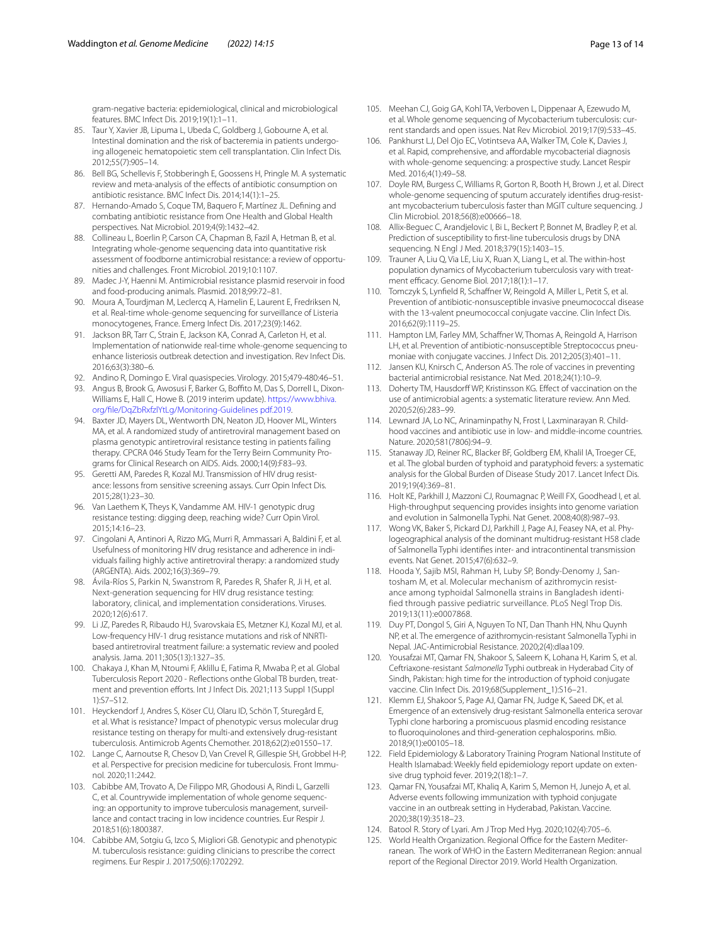gram-negative bacteria: epidemiological, clinical and microbiological features. BMC Infect Dis. 2019;19(1):1–11.

- <span id="page-12-0"></span>85. Taur Y, Xavier JB, Lipuma L, Ubeda C, Goldberg J, Gobourne A, et al. Intestinal domination and the risk of bacteremia in patients undergoing allogeneic hematopoietic stem cell transplantation. Clin Infect Dis. 2012;55(7):905–14.
- <span id="page-12-1"></span>86. Bell BG, Schellevis F, Stobberingh E, Goossens H, Pringle M. A systematic review and meta-analysis of the efects of antibiotic consumption on antibiotic resistance. BMC Infect Dis. 2014;14(1):1–25.
- <span id="page-12-2"></span>87. Hernando-Amado S, Coque TM, Baquero F, Martínez JL. Defning and combating antibiotic resistance from One Health and Global Health perspectives. Nat Microbiol. 2019;4(9):1432–42.
- <span id="page-12-3"></span>88. Collineau L, Boerlin P, Carson CA, Chapman B, Fazil A, Hetman B, et al. Integrating whole-genome sequencing data into quantitative risk assessment of foodborne antimicrobial resistance: a review of opportunities and challenges. Front Microbiol. 2019;10:1107.
- <span id="page-12-4"></span>89. Madec J-Y, Haenni M. Antimicrobial resistance plasmid reservoir in food and food-producing animals. Plasmid. 2018;99:72–81.
- <span id="page-12-5"></span>90. Moura A, Tourdjman M, Leclercq A, Hamelin E, Laurent E, Fredriksen N, et al. Real-time whole-genome sequencing for surveillance of Listeria monocytogenes, France. Emerg Infect Dis. 2017;23(9):1462.
- <span id="page-12-6"></span>91. Jackson BR, Tarr C, Strain E, Jackson KA, Conrad A, Carleton H, et al. Implementation of nationwide real-time whole-genome sequencing to enhance listeriosis outbreak detection and investigation. Rev Infect Dis. 2016;63(3):380–6.
- <span id="page-12-7"></span>92. Andino R, Domingo E. Viral quasispecies. Virology. 2015;479-480:46–51.
- <span id="page-12-8"></span>93. Angus B, Brook G, Awosusi F, Barker G, Boffito M, Das S, Dorrell L, Dixon-Williams E, Hall C, Howe B. (2019 interim update). [https://www.bhiva.](https://www.bhiva.org/file/DqZbRxfzlYtLg/Monitoring-Guidelines%20pdf.2019) [org/fle/DqZbRxfzlYtLg/Monitoring-Guidelines pdf.2019.](https://www.bhiva.org/file/DqZbRxfzlYtLg/Monitoring-Guidelines%20pdf.2019)
- <span id="page-12-9"></span>94. Baxter JD, Mayers DL, Wentworth DN, Neaton JD, Hoover ML, Winters MA, et al. A randomized study of antiretroviral management based on plasma genotypic antiretroviral resistance testing in patients failing therapy. CPCRA 046 Study Team for the Terry Beirn Community Programs for Clinical Research on AIDS. Aids. 2000;14(9):F83–93.
- 95. Geretti AM, Paredes R, Kozal MJ. Transmission of HIV drug resistance: lessons from sensitive screening assays. Curr Opin Infect Dis. 2015;28(1):23–30.
- 96. Van Laethem K, Theys K, Vandamme AM. HIV-1 genotypic drug resistance testing: digging deep, reaching wide? Curr Opin Virol. 2015;14:16–23.
- <span id="page-12-10"></span>97. Cingolani A, Antinori A, Rizzo MG, Murri R, Ammassari A, Baldini F, et al. Usefulness of monitoring HIV drug resistance and adherence in individuals failing highly active antiretroviral therapy: a randomized study (ARGENTA). Aids. 2002;16(3):369–79.
- <span id="page-12-11"></span>98. Ávila-Ríos S, Parkin N, Swanstrom R, Paredes R, Shafer R, Ji H, et al. Next-generation sequencing for HIV drug resistance testing: laboratory, clinical, and implementation considerations. Viruses. 2020;12(6):617.
- <span id="page-12-12"></span>99. Li JZ, Paredes R, Ribaudo HJ, Svarovskaia ES, Metzner KJ, Kozal MJ, et al. Low-frequency HIV-1 drug resistance mutations and risk of NNRTIbased antiretroviral treatment failure: a systematic review and pooled analysis. Jama. 2011;305(13):1327–35.
- <span id="page-12-13"></span>100. Chakaya J, Khan M, Ntoumi F, Aklillu E, Fatima R, Mwaba P, et al. Global Tuberculosis Report 2020 - Refections onthe Global TB burden, treatment and prevention efforts. Int J Infect Dis. 2021;113 Suppl 1(Suppl 1):S7–S12.
- <span id="page-12-14"></span>101. Heyckendorf J, Andres S, Köser CU, Olaru ID, Schön T, Sturegård E, et al. What is resistance? Impact of phenotypic versus molecular drug resistance testing on therapy for multi-and extensively drug-resistant tuberculosis. Antimicrob Agents Chemother. 2018;62(2):e01550–17.
- <span id="page-12-15"></span>102. Lange C, Aarnoutse R, Chesov D, Van Crevel R, Gillespie SH, Grobbel H-P, et al. Perspective for precision medicine for tuberculosis. Front Immunol. 2020;11:2442.
- 103. Cabibbe AM, Trovato A, De Filippo MR, Ghodousi A, Rindi L, Garzelli C, et al. Countrywide implementation of whole genome sequencing: an opportunity to improve tuberculosis management, surveillance and contact tracing in low incidence countries. Eur Respir J. 2018;51(6):1800387.
- <span id="page-12-16"></span>104. Cabibbe AM, Sotgiu G, Izco S, Migliori GB. Genotypic and phenotypic M. tuberculosis resistance: guiding clinicians to prescribe the correct regimens. Eur Respir J. 2017;50(6):1702292.
- <span id="page-12-17"></span>105. Meehan CJ, Goig GA, Kohl TA, Verboven L, Dippenaar A, Ezewudo M, et al. Whole genome sequencing of Mycobacterium tuberculosis: current standards and open issues. Nat Rev Microbiol. 2019;17(9):533–45.
- <span id="page-12-18"></span>106. Pankhurst LJ, Del Ojo EC, Votintseva AA, Walker TM, Cole K, Davies J, et al. Rapid, comprehensive, and afordable mycobacterial diagnosis with whole-genome sequencing: a prospective study. Lancet Respir Med. 2016;4(1):49–58.
- <span id="page-12-19"></span>107. Doyle RM, Burgess C, Williams R, Gorton R, Booth H, Brown J, et al. Direct whole-genome sequencing of sputum accurately identifes drug-resistant mycobacterium tuberculosis faster than MGIT culture sequencing. J Clin Microbiol. 2018;56(8):e00666–18.
- <span id="page-12-20"></span>108. Allix-Beguec C, Arandjelovic I, Bi L, Beckert P, Bonnet M, Bradley P, et al. Prediction of susceptibility to frst-line tuberculosis drugs by DNA sequencing. N Engl J Med. 2018;379(15):1403–15.
- <span id="page-12-21"></span>109. Trauner A, Liu Q, Via LE, Liu X, Ruan X, Liang L, et al. The within-host population dynamics of Mycobacterium tuberculosis vary with treatment efficacy. Genome Biol. 2017;18(1):1-17.
- <span id="page-12-22"></span>110. Tomczyk S, Lynfield R, Schaffner W, Reingold A, Miller L, Petit S, et al. Prevention of antibiotic-nonsusceptible invasive pneumococcal disease with the 13-valent pneumococcal conjugate vaccine. Clin Infect Dis. 2016;62(9):1119–25.
- <span id="page-12-23"></span>111. Hampton LM, Farley MM, Schaffner W, Thomas A, Reingold A, Harrison LH, et al. Prevention of antibiotic-nonsusceptible Streptococcus pneumoniae with conjugate vaccines. J Infect Dis. 2012;205(3):401–11.
- <span id="page-12-24"></span>112. Jansen KU, Knirsch C, Anderson AS. The role of vaccines in preventing bacterial antimicrobial resistance. Nat Med. 2018;24(1):10–9.
- <span id="page-12-25"></span>113. Doherty TM, Hausdorff WP, Kristinsson KG. Effect of vaccination on the use of antimicrobial agents: a systematic literature review. Ann Med. 2020;52(6):283–99.
- <span id="page-12-26"></span>114. Lewnard JA, Lo NC, Arinaminpathy N, Frost I, Laxminarayan R. Childhood vaccines and antibiotic use in low- and middle-income countries. Nature. 2020;581(7806):94–9.
- <span id="page-12-27"></span>115. Stanaway JD, Reiner RC, Blacker BF, Goldberg EM, Khalil IA, Troeger CE, et al. The global burden of typhoid and paratyphoid fevers: a systematic analysis for the Global Burden of Disease Study 2017. Lancet Infect Dis. 2019;19(4):369–81.
- <span id="page-12-28"></span>116. Holt KE, Parkhill J, Mazzoni CJ, Roumagnac P, Weill FX, Goodhead I, et al. High-throughput sequencing provides insights into genome variation and evolution in Salmonella Typhi. Nat Genet. 2008;40(8):987–93.
- <span id="page-12-29"></span>117. Wong VK, Baker S, Pickard DJ, Parkhill J, Page AJ, Feasey NA, et al. Phylogeographical analysis of the dominant multidrug-resistant H58 clade of Salmonella Typhi identifes inter- and intracontinental transmission events. Nat Genet. 2015;47(6):632–9.
- <span id="page-12-30"></span>118. Hooda Y, Sajib MSI, Rahman H, Luby SP, Bondy-Denomy J, Santosham M, et al. Molecular mechanism of azithromycin resistance among typhoidal Salmonella strains in Bangladesh identified through passive pediatric surveillance. PLoS Negl Trop Dis. 2019;13(11):e0007868.
- <span id="page-12-31"></span>119. Duy PT, Dongol S, Giri A, Nguyen To NT, Dan Thanh HN, Nhu Quynh NP, et al. The emergence of azithromycin-resistant Salmonella Typhi in Nepal. JAC-Antimicrobial Resistance. 2020;2(4):dlaa109.
- <span id="page-12-32"></span>120. Yousafzai MT, Qamar FN, Shakoor S, Saleem K, Lohana H, Karim S, et al. Ceftriaxone-resistant *Salmonella* Typhi outbreak in Hyderabad City of Sindh, Pakistan: high time for the introduction of typhoid conjugate vaccine. Clin Infect Dis. 2019;68(Supplement\_1):S16–21.
- <span id="page-12-33"></span>121. Klemm EJ, Shakoor S, Page AJ, Qamar FN, Judge K, Saeed DK, et al. Emergence of an extensively drug-resistant Salmonella enterica serovar Typhi clone harboring a promiscuous plasmid encoding resistance to fuoroquinolones and third-generation cephalosporins. mBio. 2018;9(1):e00105–18.
- <span id="page-12-34"></span>122. Field Epidemiology & Laboratory Training Program National Institute of Health Islamabad: Weekly feld epidemiology report update on extensive drug typhoid fever. 2019;2(18):1–7.
- <span id="page-12-35"></span>123. Qamar FN, Yousafzai MT, Khaliq A, Karim S, Memon H, Junejo A, et al. Adverse events following immunization with typhoid conjugate vaccine in an outbreak setting in Hyderabad, Pakistan. Vaccine. 2020;38(19):3518–23.
- <span id="page-12-36"></span>124. Batool R. Story of Lyari. Am J Trop Med Hyg. 2020;102(4):705–6.
- <span id="page-12-37"></span>125. World Health Organization. Regional Office for the Eastern Mediterranean. The work of WHO in the Eastern Mediterranean Region: annual report of the Regional Director 2019. World Health Organization.